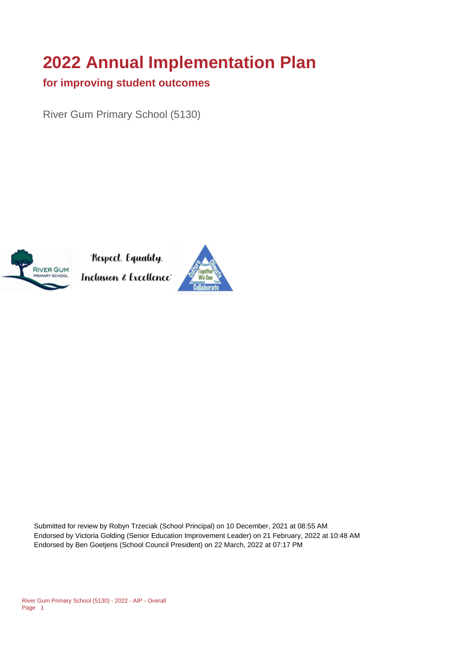# **2022 Annual Implementation Plan**

#### **for improving student outcomes**

River Gum Primary School (5130)



Respect. Equality. Inclusion & Excellence'



Submitted for review by Robyn Trzeciak (School Principal) on 10 December, 2021 at 08:55 AM Endorsed by Victoria Golding (Senior Education Improvement Leader) on 21 February, 2022 at 10:48 AM Endorsed by Ben Goetjens (School Council President) on 22 March, 2022 at 07:17 PM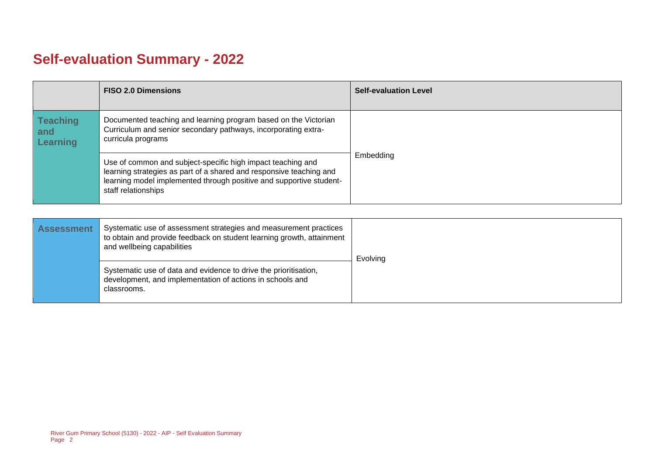## **Self-evaluation Summary - 2022**

|                                           | <b>FISO 2.0 Dimensions</b>                                                                                                                                                                                                       | <b>Self-evaluation Level</b> |
|-------------------------------------------|----------------------------------------------------------------------------------------------------------------------------------------------------------------------------------------------------------------------------------|------------------------------|
| <b>Teaching</b><br>and<br><b>Learning</b> | Documented teaching and learning program based on the Victorian<br>Curriculum and senior secondary pathways, incorporating extra-<br>curricula programs                                                                          |                              |
|                                           | Use of common and subject-specific high impact teaching and<br>learning strategies as part of a shared and responsive teaching and<br>learning model implemented through positive and supportive student-<br>staff relationships | Embedding                    |

| <b>Assessment</b> | Systematic use of assessment strategies and measurement practices<br>to obtain and provide feedback on student learning growth, attainment<br>and wellbeing capabilities | Evolving |
|-------------------|--------------------------------------------------------------------------------------------------------------------------------------------------------------------------|----------|
|                   | Systematic use of data and evidence to drive the prioritisation,<br>development, and implementation of actions in schools and<br>classrooms.                             |          |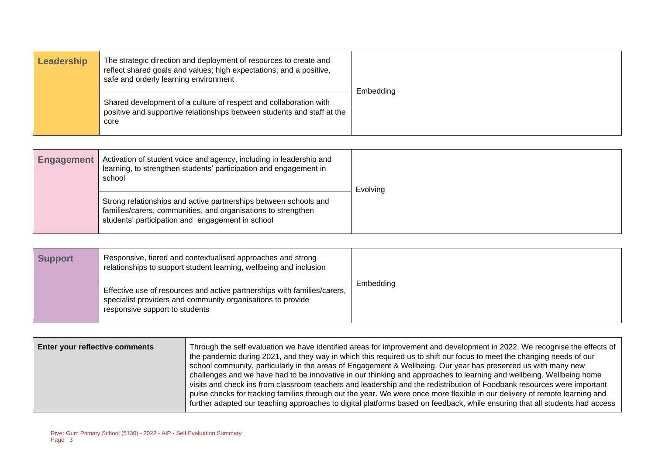| Leadership | The strategic direction and deployment of resources to create and<br>reflect shared goals and values; high expectations; and a positive,<br>safe and orderly learning environment | Embedding |
|------------|-----------------------------------------------------------------------------------------------------------------------------------------------------------------------------------|-----------|
|            | Shared development of a culture of respect and collaboration with<br>positive and supportive relationships between students and staff at the<br>core                              |           |

| <b>Engagement</b> | Activation of student voice and agency, including in leadership and<br>learning, to strengthen students' participation and engagement in<br>school                                    | Evolving |
|-------------------|---------------------------------------------------------------------------------------------------------------------------------------------------------------------------------------|----------|
|                   | Strong relationships and active partnerships between schools and<br>families/carers, communities, and organisations to strengthen<br>students' participation and engagement in school |          |

| <b>Support</b> | Responsive, tiered and contextualised approaches and strong<br>relationships to support student learning, wellbeing and inclusion                                         |           |
|----------------|---------------------------------------------------------------------------------------------------------------------------------------------------------------------------|-----------|
|                | Effective use of resources and active partnerships with families/carers,<br>specialist providers and community organisations to provide<br>responsive support to students | Embedding |

| Enter your reflective comments | Through the self evaluation we have identified areas for improvement and development in 2022. We recognise the effects of<br>the pandemic during 2021, and they way in which this required us to shift our focus to meet the changing needs of our<br>school community, particularly in the areas of Engagement & Wellbeing. Our year has presented us with many new<br>challenges and we have had to be innovative in our thinking and approaches to learning and wellbeing. Wellbeing home<br>visits and check ins from classroom teachers and leadership and the redistribution of Foodbank resources were important<br>pulse checks for tracking families through out the year. We were once more flexible in our delivery of remote learning and |
|--------------------------------|-------------------------------------------------------------------------------------------------------------------------------------------------------------------------------------------------------------------------------------------------------------------------------------------------------------------------------------------------------------------------------------------------------------------------------------------------------------------------------------------------------------------------------------------------------------------------------------------------------------------------------------------------------------------------------------------------------------------------------------------------------|
|                                | further adapted our teaching approaches to digital platforms based on feedback, while ensuring that all students had access                                                                                                                                                                                                                                                                                                                                                                                                                                                                                                                                                                                                                           |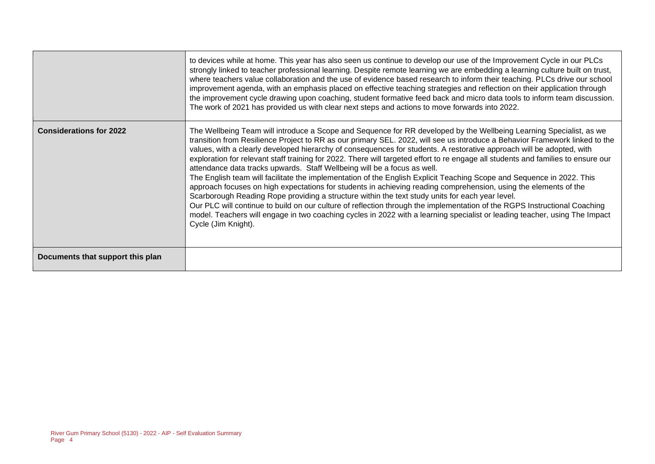|                                  | to devices while at home. This year has also seen us continue to develop our use of the Improvement Cycle in our PLCs<br>strongly linked to teacher professional learning. Despite remote learning we are embedding a learning culture built on trust,<br>where teachers value collaboration and the use of evidence based research to inform their teaching. PLCs drive our school<br>improvement agenda, with an emphasis placed on effective teaching strategies and reflection on their application through<br>the improvement cycle drawing upon coaching, student formative feed back and micro data tools to inform team discussion.<br>The work of 2021 has provided us with clear next steps and actions to move forwards into 2022.                                                                                                                                                                                                                                                                                                                                                                                                                                                                                  |
|----------------------------------|--------------------------------------------------------------------------------------------------------------------------------------------------------------------------------------------------------------------------------------------------------------------------------------------------------------------------------------------------------------------------------------------------------------------------------------------------------------------------------------------------------------------------------------------------------------------------------------------------------------------------------------------------------------------------------------------------------------------------------------------------------------------------------------------------------------------------------------------------------------------------------------------------------------------------------------------------------------------------------------------------------------------------------------------------------------------------------------------------------------------------------------------------------------------------------------------------------------------------------|
| <b>Considerations for 2022</b>   | The Wellbeing Team will introduce a Scope and Sequence for RR developed by the Wellbeing Learning Specialist, as we<br>transition from Resilience Project to RR as our primary SEL. 2022, will see us introduce a Behavior Framework linked to the<br>values, with a clearly developed hierarchy of consequences for students. A restorative approach will be adopted, with<br>exploration for relevant staff training for 2022. There will targeted effort to re engage all students and families to ensure our<br>attendance data tracks upwards. Staff Wellbeing will be a focus as well.<br>The English team will facilitate the implementation of the English Explicit Teaching Scope and Sequence in 2022. This<br>approach focuses on high expectations for students in achieving reading comprehension, using the elements of the<br>Scarborough Reading Rope providing a structure within the text study units for each year level.<br>Our PLC will continue to build on our culture of reflection through the implementation of the RGPS Instructional Coaching<br>model. Teachers will engage in two coaching cycles in 2022 with a learning specialist or leading teacher, using The Impact<br>Cycle (Jim Knight). |
| Documents that support this plan |                                                                                                                                                                                                                                                                                                                                                                                                                                                                                                                                                                                                                                                                                                                                                                                                                                                                                                                                                                                                                                                                                                                                                                                                                                |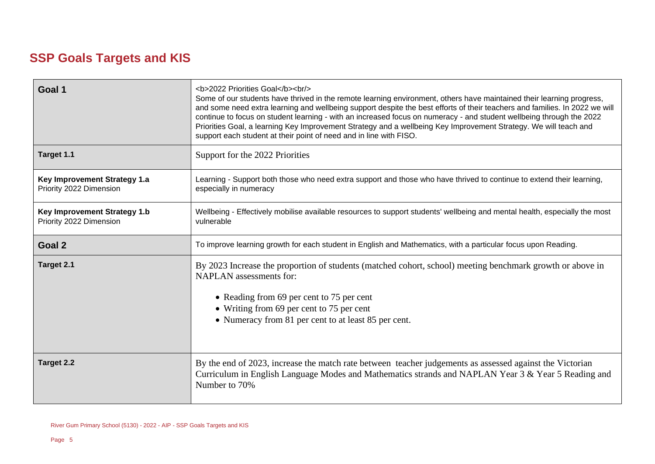### **SSP Goals Targets and KIS**

| Goal 1                                                         | <b>2022 Priorities Goal</b><br><br><br>Some of our students have thrived in the remote learning environment, others have maintained their learning progress,<br>and some need extra learning and wellbeing support despite the best efforts of their teachers and families. In 2022 we will<br>continue to focus on student learning - with an increased focus on numeracy - and student wellbeing through the 2022<br>Priorities Goal, a learning Key Improvement Strategy and a wellbeing Key Improvement Strategy. We will teach and<br>support each student at their point of need and in line with FISO. |  |  |
|----------------------------------------------------------------|---------------------------------------------------------------------------------------------------------------------------------------------------------------------------------------------------------------------------------------------------------------------------------------------------------------------------------------------------------------------------------------------------------------------------------------------------------------------------------------------------------------------------------------------------------------------------------------------------------------|--|--|
| Target 1.1                                                     | Support for the 2022 Priorities                                                                                                                                                                                                                                                                                                                                                                                                                                                                                                                                                                               |  |  |
| Key Improvement Strategy 1.a<br>Priority 2022 Dimension        | Learning - Support both those who need extra support and those who have thrived to continue to extend their learning,<br>especially in numeracy                                                                                                                                                                                                                                                                                                                                                                                                                                                               |  |  |
| <b>Key Improvement Strategy 1.b</b><br>Priority 2022 Dimension | Wellbeing - Effectively mobilise available resources to support students' wellbeing and mental health, especially the most<br>vulnerable                                                                                                                                                                                                                                                                                                                                                                                                                                                                      |  |  |
| Goal 2                                                         | To improve learning growth for each student in English and Mathematics, with a particular focus upon Reading.                                                                                                                                                                                                                                                                                                                                                                                                                                                                                                 |  |  |
| Target 2.1                                                     | By 2023 Increase the proportion of students (matched cohort, school) meeting benchmark growth or above in<br><b>NAPLAN</b> assessments for:<br>• Reading from 69 per cent to 75 per cent<br>• Writing from 69 per cent to 75 per cent<br>• Numeracy from 81 per cent to at least 85 per cent.                                                                                                                                                                                                                                                                                                                 |  |  |
| <b>Target 2.2</b>                                              | By the end of 2023, increase the match rate between teacher judgements as assessed against the Victorian<br>Curriculum in English Language Modes and Mathematics strands and NAPLAN Year 3 & Year 5 Reading and<br>Number to 70%                                                                                                                                                                                                                                                                                                                                                                              |  |  |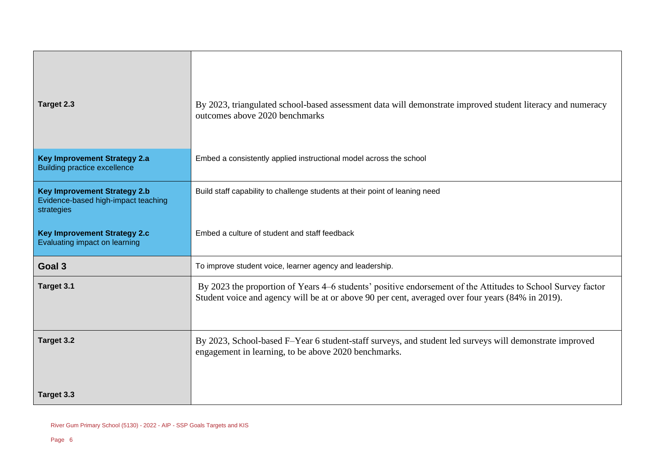| Target 2.3                                                                               | By 2023, triangulated school-based assessment data will demonstrate improved student literacy and numeracy<br>outcomes above 2020 benchmarks                                                                     |
|------------------------------------------------------------------------------------------|------------------------------------------------------------------------------------------------------------------------------------------------------------------------------------------------------------------|
| <b>Key Improvement Strategy 2.a</b><br><b>Building practice excellence</b>               | Embed a consistently applied instructional model across the school                                                                                                                                               |
| <b>Key Improvement Strategy 2.b</b><br>Evidence-based high-impact teaching<br>strategies | Build staff capability to challenge students at their point of leaning need                                                                                                                                      |
| <b>Key Improvement Strategy 2.c</b><br>Evaluating impact on learning                     | Embed a culture of student and staff feedback                                                                                                                                                                    |
| Goal 3                                                                                   | To improve student voice, learner agency and leadership.                                                                                                                                                         |
| Target 3.1                                                                               | By 2023 the proportion of Years 4–6 students' positive endorsement of the Attitudes to School Survey factor<br>Student voice and agency will be at or above 90 per cent, averaged over four years (84% in 2019). |
| Target 3.2                                                                               | By 2023, School-based F-Year 6 student-staff surveys, and student led surveys will demonstrate improved<br>engagement in learning, to be above 2020 benchmarks.                                                  |
| Target 3.3                                                                               |                                                                                                                                                                                                                  |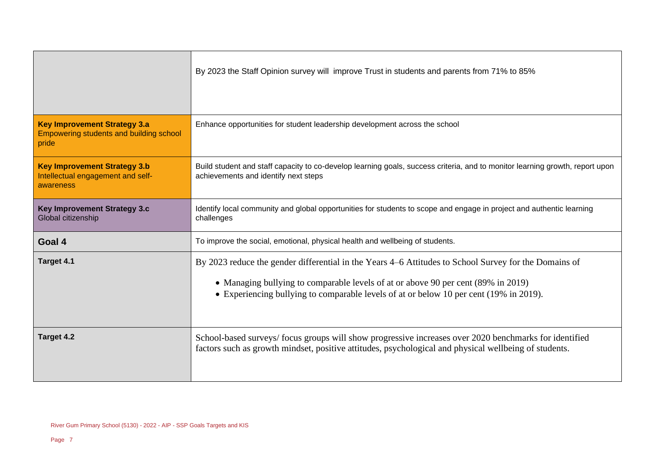|                                                                                         | By 2023 the Staff Opinion survey will improve Trust in students and parents from 71% to 85%                                                                                                                                                                                          |  |
|-----------------------------------------------------------------------------------------|--------------------------------------------------------------------------------------------------------------------------------------------------------------------------------------------------------------------------------------------------------------------------------------|--|
| <b>Key Improvement Strategy 3.a</b><br>Empowering students and building school<br>pride | Enhance opportunities for student leadership development across the school                                                                                                                                                                                                           |  |
| <b>Key Improvement Strategy 3.b</b><br>Intellectual engagement and self-<br>awareness   | Build student and staff capacity to co-develop learning goals, success criteria, and to monitor learning growth, report upon<br>achievements and identify next steps                                                                                                                 |  |
| <b>Key Improvement Strategy 3.c</b><br>Global citizenship                               | Identify local community and global opportunities for students to scope and engage in project and authentic learning<br>challenges                                                                                                                                                   |  |
| Goal 4                                                                                  | To improve the social, emotional, physical health and wellbeing of students.                                                                                                                                                                                                         |  |
| Target 4.1                                                                              | By 2023 reduce the gender differential in the Years 4–6 Attitudes to School Survey for the Domains of<br>• Managing bullying to comparable levels of at or above 90 per cent (89% in 2019)<br>• Experiencing bullying to comparable levels of at or below 10 per cent (19% in 2019). |  |
| Target 4.2                                                                              | School-based surveys/focus groups will show progressive increases over 2020 benchmarks for identified<br>factors such as growth mindset, positive attitudes, psychological and physical wellbeing of students.                                                                       |  |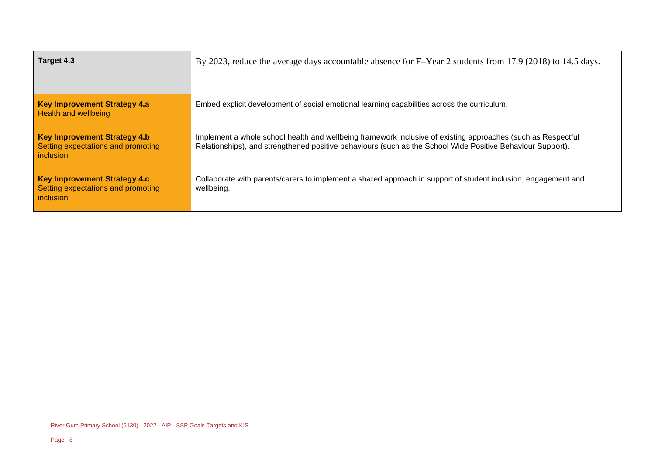| Target 4.3                                                                             | By 2023, reduce the average days accountable absence for F-Year 2 students from 17.9 (2018) to 14.5 days.                                                                                                                  |  |
|----------------------------------------------------------------------------------------|----------------------------------------------------------------------------------------------------------------------------------------------------------------------------------------------------------------------------|--|
| <b>Key Improvement Strategy 4.a</b><br><b>Health and wellbeing</b>                     | Embed explicit development of social emotional learning capabilities across the curriculum.                                                                                                                                |  |
| <b>Key Improvement Strategy 4.b</b><br>Setting expectations and promoting<br>inclusion | Implement a whole school health and wellbeing framework inclusive of existing approaches (such as Respectful<br>Relationships), and strengthened positive behaviours (such as the School Wide Positive Behaviour Support). |  |
| <b>Key Improvement Strategy 4.c</b><br>Setting expectations and promoting<br>inclusion | Collaborate with parents/carers to implement a shared approach in support of student inclusion, engagement and<br>wellbeing.                                                                                               |  |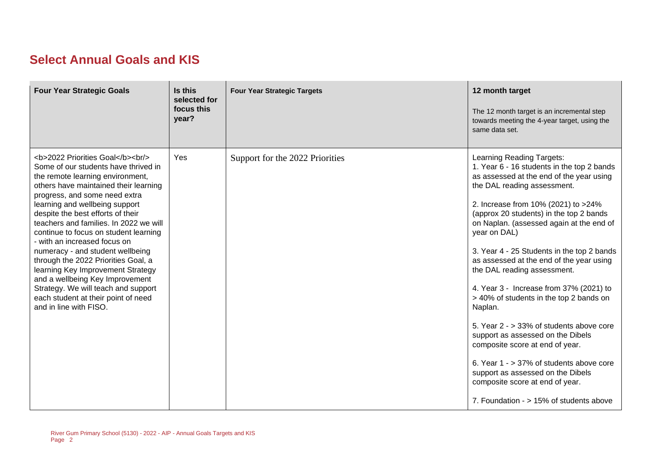### **Select Annual Goals and KIS**

| <b>Four Year Strategic Goals</b>                                                                                                                                                              | Is this<br>selected for<br>focus this<br>year? | <b>Four Year Strategic Targets</b> | 12 month target<br>The 12 month target is an incremental step<br>towards meeting the 4-year target, using the<br>same data set.                                                                                                                                                                                                                                                                                                                                                                                                                                                                                                                                                                                                                                                                               |
|-----------------------------------------------------------------------------------------------------------------------------------------------------------------------------------------------|------------------------------------------------|------------------------------------|---------------------------------------------------------------------------------------------------------------------------------------------------------------------------------------------------------------------------------------------------------------------------------------------------------------------------------------------------------------------------------------------------------------------------------------------------------------------------------------------------------------------------------------------------------------------------------------------------------------------------------------------------------------------------------------------------------------------------------------------------------------------------------------------------------------|
| <b>2022 Priorities Goal</b><br><br><br>Some of our students have thrived in<br>the remote learning environment,<br>others have maintained their learning<br>progress, and some need extra<br> | <b>Yes</b>                                     | Support for the 2022 Priorities    | Learning Reading Targets:<br>1. Year 6 - 16 students in the top 2 bands<br>as assessed at the end of the year using<br>the DAL reading assessment.<br>2. Increase from 10% (2021) to >24%<br>(approx 20 students) in the top 2 bands<br>on Naplan. (assessed again at the end of<br>year on DAL)<br>3. Year 4 - 25 Students in the top 2 bands<br>as assessed at the end of the year using<br>the DAL reading assessment.<br>4. Year 3 - Increase from 37% (2021) to<br>> 40% of students in the top 2 bands on<br>Naplan.<br>5. Year 2 - > 33% of students above core<br>support as assessed on the Dibels<br>composite score at end of year.<br>6. Year 1 - > 37% of students above core<br>support as assessed on the Dibels<br>composite score at end of year.<br>7. Foundation - > 15% of students above |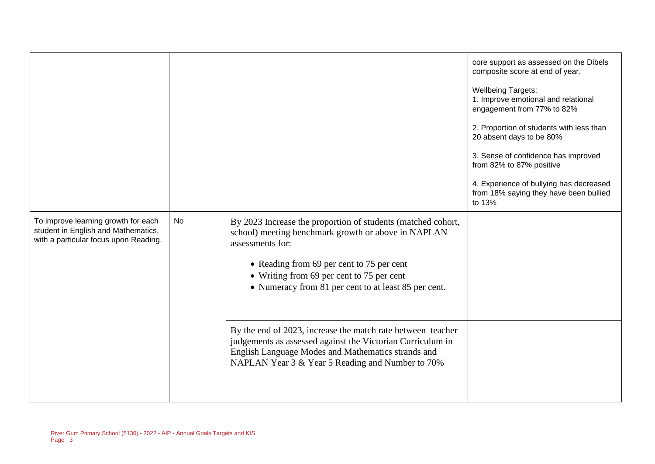|                                                                                                                     |    |                                                                                                                                                                                                                                                                                                                                                                                                                                                                                                                                  | core support as assessed on the Dibels<br>composite score at end of year.<br><b>Wellbeing Targets:</b><br>1. Improve emotional and relational<br>engagement from 77% to 82%<br>2. Proportion of students with less than<br>20 absent days to be 80%<br>3. Sense of confidence has improved<br>from 82% to 87% positive<br>4. Experience of bullying has decreased<br>from 18% saying they have been bullied<br>to 13% |
|---------------------------------------------------------------------------------------------------------------------|----|----------------------------------------------------------------------------------------------------------------------------------------------------------------------------------------------------------------------------------------------------------------------------------------------------------------------------------------------------------------------------------------------------------------------------------------------------------------------------------------------------------------------------------|-----------------------------------------------------------------------------------------------------------------------------------------------------------------------------------------------------------------------------------------------------------------------------------------------------------------------------------------------------------------------------------------------------------------------|
| To improve learning growth for each<br>student in English and Mathematics,<br>with a particular focus upon Reading. | No | By 2023 Increase the proportion of students (matched cohort,<br>school) meeting benchmark growth or above in NAPLAN<br>assessments for:<br>• Reading from 69 per cent to 75 per cent<br>• Writing from 69 per cent to 75 per cent<br>• Numeracy from 81 per cent to at least 85 per cent.<br>By the end of 2023, increase the match rate between teacher<br>judgements as assessed against the Victorian Curriculum in<br>English Language Modes and Mathematics strands and<br>NAPLAN Year 3 & Year 5 Reading and Number to 70% |                                                                                                                                                                                                                                                                                                                                                                                                                       |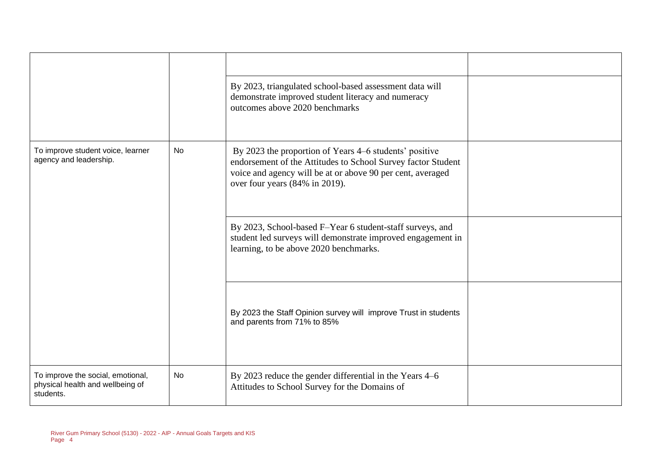|                                                                                    |           | By 2023, triangulated school-based assessment data will<br>demonstrate improved student literacy and numeracy<br>outcomes above 2020 benchmarks                                                                        |  |
|------------------------------------------------------------------------------------|-----------|------------------------------------------------------------------------------------------------------------------------------------------------------------------------------------------------------------------------|--|
| To improve student voice, learner<br>agency and leadership.                        | No        | By 2023 the proportion of Years 4–6 students' positive<br>endorsement of the Attitudes to School Survey factor Student<br>voice and agency will be at or above 90 per cent, averaged<br>over four years (84% in 2019). |  |
|                                                                                    |           | By 2023, School-based F-Year 6 student-staff surveys, and<br>student led surveys will demonstrate improved engagement in<br>learning, to be above 2020 benchmarks.                                                     |  |
|                                                                                    |           | By 2023 the Staff Opinion survey will improve Trust in students<br>and parents from 71% to 85%                                                                                                                         |  |
| To improve the social, emotional,<br>physical health and wellbeing of<br>students. | <b>No</b> | By 2023 reduce the gender differential in the Years 4–6<br>Attitudes to School Survey for the Domains of                                                                                                               |  |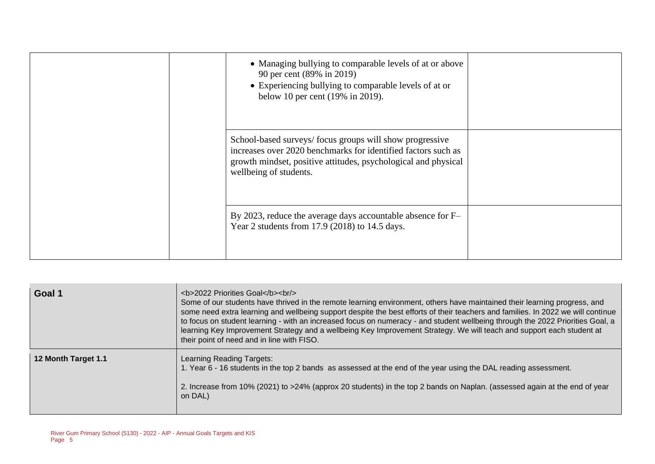|  | • Managing bullying to comparable levels of at or above<br>90 per cent (89% in 2019)<br>• Experiencing bullying to comparable levels of at or<br>below 10 per cent (19% in 2019).                                    |  |
|--|----------------------------------------------------------------------------------------------------------------------------------------------------------------------------------------------------------------------|--|
|  | School-based surveys/focus groups will show progressive<br>increases over 2020 benchmarks for identified factors such as<br>growth mindset, positive attitudes, psychological and physical<br>wellbeing of students. |  |
|  | By 2023, reduce the average days accountable absence for F-<br>Year 2 students from 17.9 (2018) to 14.5 days.                                                                                                        |  |

| Goal 1              | <b>2022 Priorities Goal</b><br><br><br>Some of our students have thrived in the remote learning environment, others have maintained their learning progress, and<br>some need extra learning and wellbeing support despite the best efforts of their teachers and families. In 2022 we will continue<br>to focus on student learning - with an increased focus on numeracy - and student wellbeing through the 2022 Priorities Goal, a<br>learning Key Improvement Strategy and a wellbeing Key Improvement Strategy. We will teach and support each student at<br>their point of need and in line with FISO. |
|---------------------|---------------------------------------------------------------------------------------------------------------------------------------------------------------------------------------------------------------------------------------------------------------------------------------------------------------------------------------------------------------------------------------------------------------------------------------------------------------------------------------------------------------------------------------------------------------------------------------------------------------|
| 12 Month Target 1.1 | Learning Reading Targets:<br>1. Year 6 - 16 students in the top 2 bands as assessed at the end of the year using the DAL reading assessment.<br>2. Increase from 10% (2021) to >24% (approx 20 students) in the top 2 bands on Naplan. (assessed again at the end of year<br>on DAL)                                                                                                                                                                                                                                                                                                                          |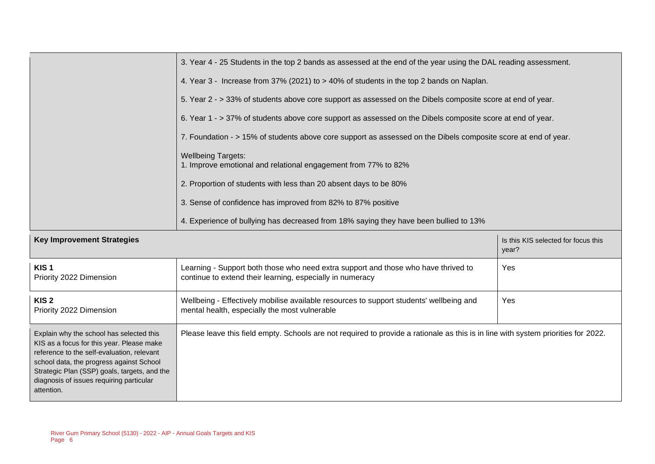|                                                                                                                                                                                                                                                                                           | 3. Year 4 - 25 Students in the top 2 bands as assessed at the end of the year using the DAL reading assessment.                                 |     |  |  |  |
|-------------------------------------------------------------------------------------------------------------------------------------------------------------------------------------------------------------------------------------------------------------------------------------------|-------------------------------------------------------------------------------------------------------------------------------------------------|-----|--|--|--|
|                                                                                                                                                                                                                                                                                           | 4. Year 3 - Increase from 37% (2021) to > 40% of students in the top 2 bands on Naplan.                                                         |     |  |  |  |
|                                                                                                                                                                                                                                                                                           | 5. Year 2 - > 33% of students above core support as assessed on the Dibels composite score at end of year.                                      |     |  |  |  |
|                                                                                                                                                                                                                                                                                           | 6. Year 1 - > 37% of students above core support as assessed on the Dibels composite score at end of year.                                      |     |  |  |  |
|                                                                                                                                                                                                                                                                                           | 7. Foundation - > 15% of students above core support as assessed on the Dibels composite score at end of year.                                  |     |  |  |  |
|                                                                                                                                                                                                                                                                                           | <b>Wellbeing Targets:</b><br>1. Improve emotional and relational engagement from 77% to 82%                                                     |     |  |  |  |
|                                                                                                                                                                                                                                                                                           | 2. Proportion of students with less than 20 absent days to be 80%                                                                               |     |  |  |  |
|                                                                                                                                                                                                                                                                                           | 3. Sense of confidence has improved from 82% to 87% positive                                                                                    |     |  |  |  |
|                                                                                                                                                                                                                                                                                           | 4. Experience of bullying has decreased from 18% saying they have been bullied to 13%                                                           |     |  |  |  |
| <b>Key Improvement Strategies</b><br>Is this KIS selected for focus this<br>year?                                                                                                                                                                                                         |                                                                                                                                                 |     |  |  |  |
| KIS <sub>1</sub><br>Priority 2022 Dimension                                                                                                                                                                                                                                               | Learning - Support both those who need extra support and those who have thrived to<br>continue to extend their learning, especially in numeracy | Yes |  |  |  |
| KIS <sub>2</sub><br>Priority 2022 Dimension                                                                                                                                                                                                                                               | Wellbeing - Effectively mobilise available resources to support students' wellbeing and<br>mental health, especially the most vulnerable        | Yes |  |  |  |
| Explain why the school has selected this<br>KIS as a focus for this year. Please make<br>reference to the self-evaluation, relevant<br>school data, the progress against School<br>Strategic Plan (SSP) goals, targets, and the<br>diagnosis of issues requiring particular<br>attention. | Please leave this field empty. Schools are not required to provide a rationale as this is in line with system priorities for 2022.              |     |  |  |  |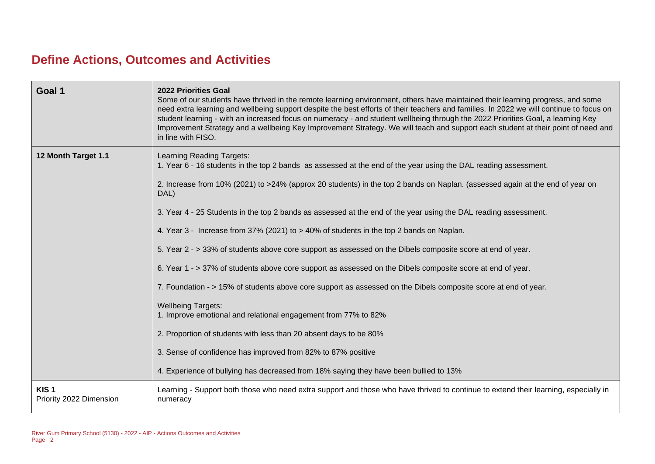### **Define Actions, Outcomes and Activities**

| Goal 1                                      | <b>2022 Priorities Goal</b><br>Some of our students have thrived in the remote learning environment, others have maintained their learning progress, and some<br>need extra learning and wellbeing support despite the best efforts of their teachers and families. In 2022 we will continue to focus on<br>student learning - with an increased focus on numeracy - and student wellbeing through the 2022 Priorities Goal, a learning Key<br>Improvement Strategy and a wellbeing Key Improvement Strategy. We will teach and support each student at their point of need and<br>in line with FISO.                                                                                                                                                                                                                                                                                                                                                                                                                                                                                                                                                                         |
|---------------------------------------------|-------------------------------------------------------------------------------------------------------------------------------------------------------------------------------------------------------------------------------------------------------------------------------------------------------------------------------------------------------------------------------------------------------------------------------------------------------------------------------------------------------------------------------------------------------------------------------------------------------------------------------------------------------------------------------------------------------------------------------------------------------------------------------------------------------------------------------------------------------------------------------------------------------------------------------------------------------------------------------------------------------------------------------------------------------------------------------------------------------------------------------------------------------------------------------|
| 12 Month Target 1.1                         | Learning Reading Targets:<br>1. Year 6 - 16 students in the top 2 bands as assessed at the end of the year using the DAL reading assessment.<br>2. Increase from 10% (2021) to >24% (approx 20 students) in the top 2 bands on Naplan. (assessed again at the end of year on<br>DAL)<br>3. Year 4 - 25 Students in the top 2 bands as assessed at the end of the year using the DAL reading assessment.<br>4. Year 3 - Increase from 37% (2021) to > 40% of students in the top 2 bands on Naplan.<br>5. Year 2 - > 33% of students above core support as assessed on the Dibels composite score at end of year.<br>6. Year 1 - > 37% of students above core support as assessed on the Dibels composite score at end of year.<br>7. Foundation - > 15% of students above core support as assessed on the Dibels composite score at end of year.<br><b>Wellbeing Targets:</b><br>1. Improve emotional and relational engagement from 77% to 82%<br>2. Proportion of students with less than 20 absent days to be 80%<br>3. Sense of confidence has improved from 82% to 87% positive<br>4. Experience of bullying has decreased from 18% saying they have been bullied to 13% |
| KIS <sub>1</sub><br>Priority 2022 Dimension | Learning - Support both those who need extra support and those who have thrived to continue to extend their learning, especially in<br>numeracy                                                                                                                                                                                                                                                                                                                                                                                                                                                                                                                                                                                                                                                                                                                                                                                                                                                                                                                                                                                                                               |
|                                             |                                                                                                                                                                                                                                                                                                                                                                                                                                                                                                                                                                                                                                                                                                                                                                                                                                                                                                                                                                                                                                                                                                                                                                               |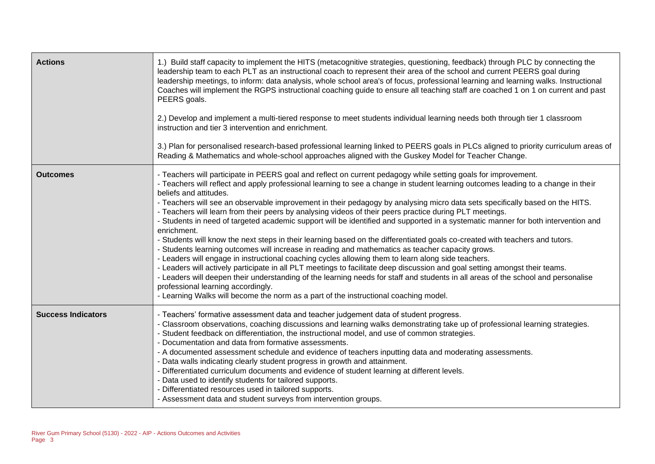| <b>Actions</b>            | 1.) Build staff capacity to implement the HITS (metacognitive strategies, questioning, feedback) through PLC by connecting the<br>leadership team to each PLT as an instructional coach to represent their area of the school and current PEERS goal during<br>leadership meetings, to inform: data analysis, whole school area's of focus, professional learning and learning walks. Instructional<br>Coaches will implement the RGPS instructional coaching guide to ensure all teaching staff are coached 1 on 1 on current and past<br>PEERS goals.<br>2.) Develop and implement a multi-tiered response to meet students individual learning needs both through tier 1 classroom<br>instruction and tier 3 intervention and enrichment.<br>3.) Plan for personalised research-based professional learning linked to PEERS goals in PLCs aligned to priority curriculum areas of<br>Reading & Mathematics and whole-school approaches aligned with the Guskey Model for Teacher Change.                                                                                                                                                                                                                                                                                                                                                                                                                              |
|---------------------------|--------------------------------------------------------------------------------------------------------------------------------------------------------------------------------------------------------------------------------------------------------------------------------------------------------------------------------------------------------------------------------------------------------------------------------------------------------------------------------------------------------------------------------------------------------------------------------------------------------------------------------------------------------------------------------------------------------------------------------------------------------------------------------------------------------------------------------------------------------------------------------------------------------------------------------------------------------------------------------------------------------------------------------------------------------------------------------------------------------------------------------------------------------------------------------------------------------------------------------------------------------------------------------------------------------------------------------------------------------------------------------------------------------------------------|
| <b>Outcomes</b>           | - Teachers will participate in PEERS goal and reflect on current pedagogy while setting goals for improvement.<br>- Teachers will reflect and apply professional learning to see a change in student learning outcomes leading to a change in their<br>beliefs and attitudes.<br>- Teachers will see an observable improvement in their pedagogy by analysing micro data sets specifically based on the HITS.<br>- Teachers will learn from their peers by analysing videos of their peers practice during PLT meetings.<br>- Students in need of targeted academic support will be identified and supported in a systematic manner for both intervention and<br>enrichment.<br>- Students will know the next steps in their learning based on the differentiated goals co-created with teachers and tutors.<br>- Students learning outcomes will increase in reading and mathematics as teacher capacity grows.<br>- Leaders will engage in instructional coaching cycles allowing them to learn along side teachers.<br>- Leaders will actively participate in all PLT meetings to facilitate deep discussion and goal setting amongst their teams.<br>- Leaders will deepen their understanding of the learning needs for staff and students in all areas of the school and personalise<br>professional learning accordingly.<br>- Learning Walks will become the norm as a part of the instructional coaching model. |
| <b>Success Indicators</b> | - Teachers' formative assessment data and teacher judgement data of student progress.<br>- Classroom observations, coaching discussions and learning walks demonstrating take up of professional learning strategies.<br>Student feedback on differentiation, the instructional model, and use of common strategies.<br>Documentation and data from formative assessments.<br>- A documented assessment schedule and evidence of teachers inputting data and moderating assessments.<br>Data walls indicating clearly student progress in growth and attainment.<br>Differentiated curriculum documents and evidence of student learning at different levels.<br>Data used to identify students for tailored supports.<br>Differentiated resources used in tailored supports.<br>- Assessment data and student surveys from intervention groups.                                                                                                                                                                                                                                                                                                                                                                                                                                                                                                                                                                         |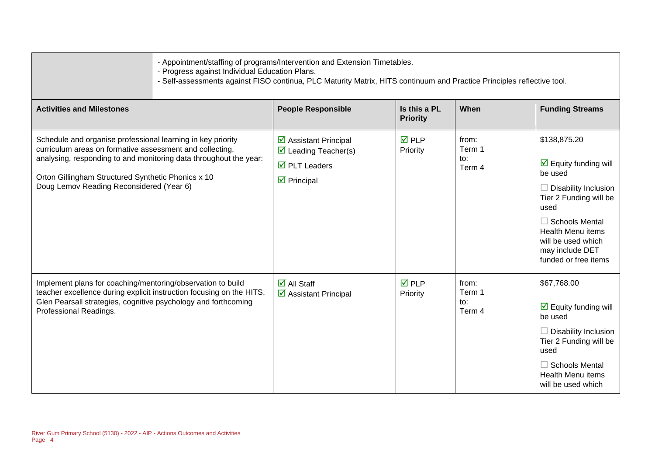| - Progress against Individual Education Plans.                                                                                                                                                                                                                                                 | Appointment/staffing of programs/Intervention and Extension Timetables.<br>- Self-assessments against FISO continua, PLC Maturity Matrix, HITS continuum and Practice Principles reflective tool. |                                 |                                  |                                                                                                                                                                                                                                                       |
|------------------------------------------------------------------------------------------------------------------------------------------------------------------------------------------------------------------------------------------------------------------------------------------------|---------------------------------------------------------------------------------------------------------------------------------------------------------------------------------------------------|---------------------------------|----------------------------------|-------------------------------------------------------------------------------------------------------------------------------------------------------------------------------------------------------------------------------------------------------|
| <b>Activities and Milestones</b>                                                                                                                                                                                                                                                               | <b>People Responsible</b>                                                                                                                                                                         | Is this a PL<br><b>Priority</b> | When                             | <b>Funding Streams</b>                                                                                                                                                                                                                                |
| Schedule and organise professional learning in key priority<br>curriculum areas on formative assessment and collecting,<br>analysing, responding to and monitoring data throughout the year:<br>Orton Gillingham Structured Synthetic Phonics x 10<br>Doug Lemov Reading Reconsidered (Year 6) | $\triangleright$ Assistant Principal<br>$\triangleright$ Leading Teacher(s)<br>$\overline{\boxtimes}$ PLT Leaders<br>$\triangleright$ Principal                                                   | $\overline{M}$ PLP<br>Priority  | from:<br>Term 1<br>to:<br>Term 4 | \$138,875.20<br>$\triangledown$ Equity funding will<br>be used<br>$\Box$ Disability Inclusion<br>Tier 2 Funding will be<br>used<br>$\Box$ Schools Mental<br><b>Health Menu items</b><br>will be used which<br>may include DET<br>funded or free items |
| Implement plans for coaching/mentoring/observation to build<br>teacher excellence during explicit instruction focusing on the HITS,<br>Glen Pearsall strategies, cognitive psychology and forthcoming<br>Professional Readings.                                                                | $\overline{\mathbf{z}}$ All Staff<br>$\triangleright$ Assistant Principal                                                                                                                         | $\overline{M}$ PLP<br>Priority  | from:<br>Term 1<br>to:<br>Term 4 | \$67,768.00<br>$\boxed{\triangle}$ Equity funding will<br>be used<br>Disability Inclusion<br>Tier 2 Funding will be<br>used<br>$\Box$ Schools Mental<br><b>Health Menu items</b><br>will be used which                                                |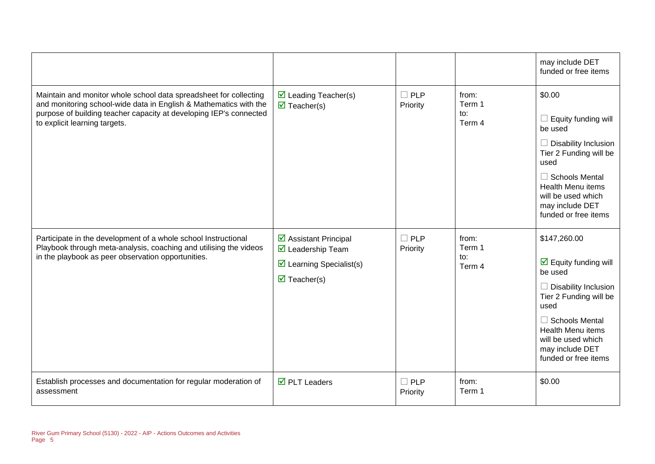|                                                                                                                                                                                                                                               |                                                                                                                                                                 |                           |                                  | may include DET<br>funded or free items                                                                                                                                                                                                                       |
|-----------------------------------------------------------------------------------------------------------------------------------------------------------------------------------------------------------------------------------------------|-----------------------------------------------------------------------------------------------------------------------------------------------------------------|---------------------------|----------------------------------|---------------------------------------------------------------------------------------------------------------------------------------------------------------------------------------------------------------------------------------------------------------|
| Maintain and monitor whole school data spreadsheet for collecting<br>and monitoring school-wide data in English & Mathematics with the<br>purpose of building teacher capacity at developing IEP's connected<br>to explicit learning targets. | $\triangleright$ Leading Teacher(s)<br>$\overline{\mathbf{M}}$ Teacher(s)                                                                                       | <b>PLP</b><br>Priority    | from:<br>Term 1<br>to:<br>Term 4 | \$0.00<br>$\Box$ Equity funding will<br>be used<br>$\Box$ Disability Inclusion<br>Tier 2 Funding will be<br>used<br><b>Schools Mental</b><br>$\Box$<br><b>Health Menu items</b><br>will be used which<br>may include DET<br>funded or free items              |
| Participate in the development of a whole school Instructional<br>Playbook through meta-analysis, coaching and utilising the videos<br>in the playbook as peer observation opportunities.                                                     | $\overline{\mathbf{y}}$ Assistant Principal<br>$\overline{\mathbf{M}}$ Leadership Team<br>$\triangleright$ Learning Specialist(s)<br>$\triangledown$ Teacher(s) | $\square$ PLP<br>Priority | from:<br>Term 1<br>to:<br>Term 4 | \$147,260.00<br>$\overline{\mathbf{M}}$ Equity funding will<br>be used<br><b>Disability Inclusion</b><br>Tier 2 Funding will be<br>used<br>$\Box$ Schools Mental<br><b>Health Menu items</b><br>will be used which<br>may include DET<br>funded or free items |
| Establish processes and documentation for regular moderation of<br>assessment                                                                                                                                                                 | $\overline{\boxtimes}$ PLT Leaders                                                                                                                              | <b>PLP</b><br>Priority    | from:<br>Term 1                  | \$0.00                                                                                                                                                                                                                                                        |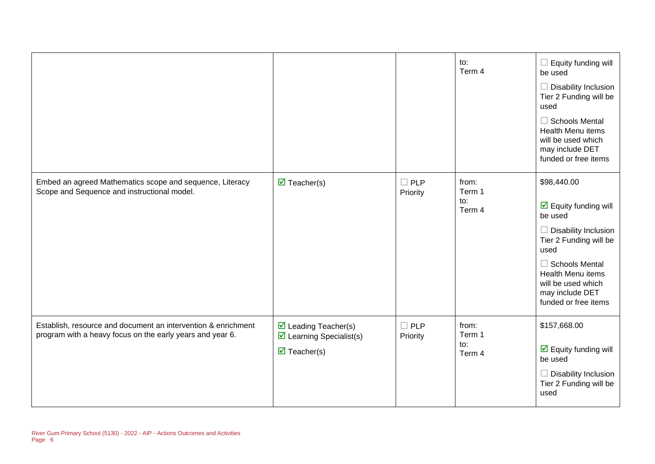|                                                                                                                            |                                                                                                                      |                        | to:<br>Term 4                    | $\Box$ Equity funding will<br>be used<br>Disability Inclusion<br>Tier 2 Funding will be<br>used<br>$\Box$ Schools Mental<br><b>Health Menu items</b><br>will be used which<br>may include DET<br>funded or free items                                    |
|----------------------------------------------------------------------------------------------------------------------------|----------------------------------------------------------------------------------------------------------------------|------------------------|----------------------------------|----------------------------------------------------------------------------------------------------------------------------------------------------------------------------------------------------------------------------------------------------------|
| Embed an agreed Mathematics scope and sequence, Literacy<br>Scope and Sequence and instructional model.                    | $\overline{\mathbf{M}}$ Teacher(s)                                                                                   | $\Box$ PLP<br>Priority | from:<br>Term 1<br>to:<br>Term 4 | \$98,440.00<br>$\overline{\mathbf{y}}$ Equity funding will<br>be used<br>Disability Inclusion<br>$\Box$<br>Tier 2 Funding will be<br>used<br>$\Box$ Schools Mental<br>Health Menu items<br>will be used which<br>may include DET<br>funded or free items |
| Establish, resource and document an intervention & enrichment<br>program with a heavy focus on the early years and year 6. | $\triangleright$ Leading Teacher(s)<br>$\triangleright$ Learning Specialist(s)<br>$\overline{\mathbf{M}}$ Teacher(s) | $\Box$ PLP<br>Priority | from:<br>Term 1<br>to:<br>Term 4 | \$157,668.00<br>$\overline{\mathbf{y}}$ Equity funding will<br>be used<br>Disability Inclusion<br>Tier 2 Funding will be<br>used                                                                                                                         |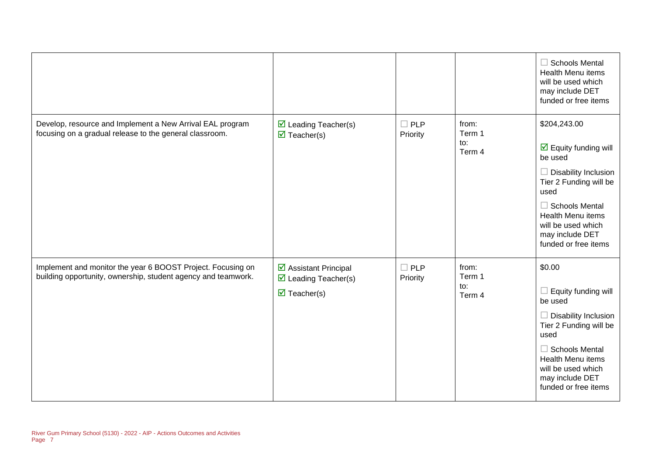|                                                                                                                              |                                                                                                    |                        |                                  | $\Box$ Schools Mental<br><b>Health Menu items</b><br>will be used which<br>may include DET<br>funded or free items                                                                                                                                |
|------------------------------------------------------------------------------------------------------------------------------|----------------------------------------------------------------------------------------------------|------------------------|----------------------------------|---------------------------------------------------------------------------------------------------------------------------------------------------------------------------------------------------------------------------------------------------|
| Develop, resource and Implement a New Arrival EAL program<br>focusing on a gradual release to the general classroom.         | $\triangleright$ Leading Teacher(s)<br>$\overline{\mathbf{M}}$ Teacher(s)                          | $\Box$ PLP<br>Priority | from:<br>Term 1<br>to:<br>Term 4 | \$204,243.00<br>$\boxtimes$ Equity funding will<br>be used<br>$\Box$ Disability Inclusion<br>Tier 2 Funding will be<br>used<br>$\Box$ Schools Mental<br><b>Health Menu items</b><br>will be used which<br>may include DET<br>funded or free items |
| Implement and monitor the year 6 BOOST Project. Focusing on<br>building opportunity, ownership, student agency and teamwork. | ☑ Assistant Principal<br>$\triangleright$ Leading Teacher(s)<br>$\overline{\mathbf{M}}$ Teacher(s) | $\Box$ PLP<br>Priority | from:<br>Term 1<br>to:<br>Term 4 | \$0.00<br>Equity funding will<br>$\Box$<br>be used<br>$\Box$ Disability Inclusion<br>Tier 2 Funding will be<br>used<br>$\Box$ Schools Mental<br>Health Menu items<br>will be used which<br>may include DET<br>funded or free items                |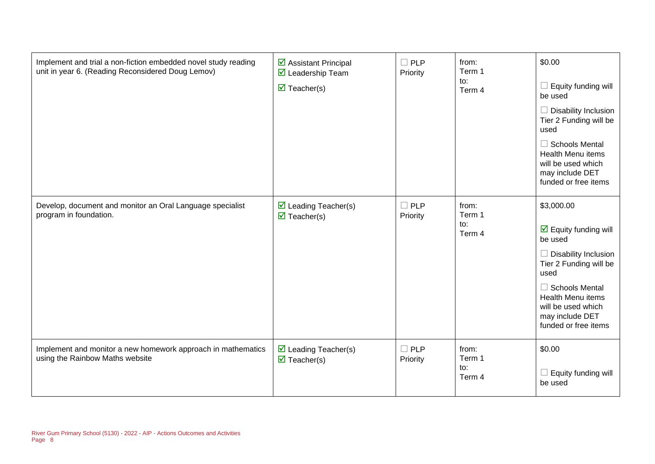| Implement and trial a non-fiction embedded novel study reading<br>unit in year 6. (Reading Reconsidered Doug Lemov) | $\triangleright$ Assistant Principal<br>$\triangledown$ Leadership Team<br>$\triangledown$ Teacher(s) | $\Box$ PLP<br>Priority | from:<br>Term 1<br>to:<br>Term 4 | \$0.00<br>Equity funding will<br>be used<br>Disability Inclusion<br>Tier 2 Funding will be<br>used<br>$\Box$ Schools Mental<br><b>Health Menu items</b><br>will be used which<br>may include DET<br>funded or free items                                    |
|---------------------------------------------------------------------------------------------------------------------|-------------------------------------------------------------------------------------------------------|------------------------|----------------------------------|-------------------------------------------------------------------------------------------------------------------------------------------------------------------------------------------------------------------------------------------------------------|
| Develop, document and monitor an Oral Language specialist<br>program in foundation.                                 | $\triangleright$ Leading Teacher(s)<br>$\triangledown$ Teacher(s)                                     | $\Box$ PLP<br>Priority | from:<br>Term 1<br>to:<br>Term 4 | \$3,000.00<br>$\overline{\mathbf{y}}$ Equity funding will<br>be used<br>$\Box$ Disability Inclusion<br>Tier 2 Funding will be<br>used<br>$\Box$ Schools Mental<br><b>Health Menu items</b><br>will be used which<br>may include DET<br>funded or free items |
| Implement and monitor a new homework approach in mathematics<br>using the Rainbow Maths website                     | $\triangleright$ Leading Teacher(s)<br>$\triangledown$ Teacher(s)                                     | $\Box$ PLP<br>Priority | from:<br>Term 1<br>to:<br>Term 4 | \$0.00<br>Equity funding will<br>be used                                                                                                                                                                                                                    |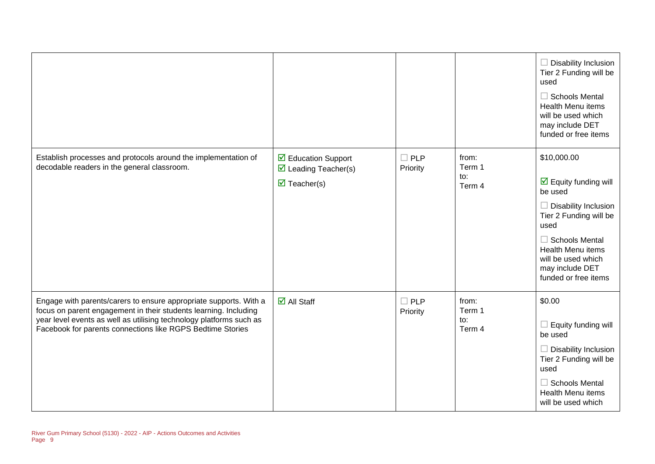|                                                                                                                                                                                                                                                                            |                                                                                                  |                           |                                  | $\Box$ Disability Inclusion<br>Tier 2 Funding will be<br>used<br>$\Box$ Schools Mental<br><b>Health Menu items</b><br>will be used which<br>may include DET<br>funded or free items                                                            |
|----------------------------------------------------------------------------------------------------------------------------------------------------------------------------------------------------------------------------------------------------------------------------|--------------------------------------------------------------------------------------------------|---------------------------|----------------------------------|------------------------------------------------------------------------------------------------------------------------------------------------------------------------------------------------------------------------------------------------|
| Establish processes and protocols around the implementation of<br>decodable readers in the general classroom.                                                                                                                                                              | ☑ Education Support<br>$\triangleright$ Leading Teacher(s)<br>$\overline{\mathbf{M}}$ Teacher(s) | $\Box$ PLP<br>Priority    | from:<br>Term 1<br>to:<br>Term 4 | \$10,000.00<br>$\boxdot$ Equity funding will<br>be used<br>$\Box$ Disability Inclusion<br>Tier 2 Funding will be<br>used<br>$\Box$ Schools Mental<br><b>Health Menu items</b><br>will be used which<br>may include DET<br>funded or free items |
| Engage with parents/carers to ensure appropriate supports. With a<br>focus on parent engagement in their students learning. Including<br>year level events as well as utilising technology platforms such as<br>Facebook for parents connections like RGPS Bedtime Stories | $\overline{\mathbf{M}}$ All Staff                                                                | $\square$ PLP<br>Priority | from:<br>Term 1<br>to:<br>Term 4 | \$0.00<br>$\Box$ Equity funding will<br>be used<br>$\Box$ Disability Inclusion<br>Tier 2 Funding will be<br>used<br>$\Box$ Schools Mental<br><b>Health Menu items</b><br>will be used which                                                    |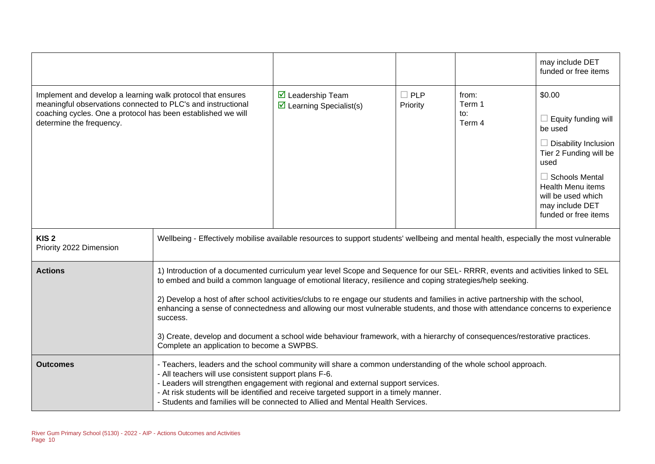|                                                                                                                                                                                                                         |                                                                                                                                                                                                                                                                                                                                                                                                                                                                                                                                                                                                                                                                                                             |                                                              |                        |                                  | may include DET<br>funded or free items                                                                                                                                                                                  |
|-------------------------------------------------------------------------------------------------------------------------------------------------------------------------------------------------------------------------|-------------------------------------------------------------------------------------------------------------------------------------------------------------------------------------------------------------------------------------------------------------------------------------------------------------------------------------------------------------------------------------------------------------------------------------------------------------------------------------------------------------------------------------------------------------------------------------------------------------------------------------------------------------------------------------------------------------|--------------------------------------------------------------|------------------------|----------------------------------|--------------------------------------------------------------------------------------------------------------------------------------------------------------------------------------------------------------------------|
| Implement and develop a learning walk protocol that ensures<br>meaningful observations connected to PLC's and instructional<br>coaching cycles. One a protocol has been established we will<br>determine the frequency. |                                                                                                                                                                                                                                                                                                                                                                                                                                                                                                                                                                                                                                                                                                             | ☑ Leadership Team<br>$\triangleright$ Learning Specialist(s) | $\Box$ PLP<br>Priority | from:<br>Term 1<br>to:<br>Term 4 | \$0.00<br>Equity funding will<br>be used<br>$\Box$ Disability Inclusion<br>Tier 2 Funding will be<br>used<br>$\Box$ Schools Mental<br>Health Menu items<br>will be used which<br>may include DET<br>funded or free items |
| KIS <sub>2</sub><br>Priority 2022 Dimension                                                                                                                                                                             | Wellbeing - Effectively mobilise available resources to support students' wellbeing and mental health, especially the most vulnerable                                                                                                                                                                                                                                                                                                                                                                                                                                                                                                                                                                       |                                                              |                        |                                  |                                                                                                                                                                                                                          |
| <b>Actions</b>                                                                                                                                                                                                          | 1) Introduction of a documented curriculum year level Scope and Sequence for our SEL- RRRR, events and activities linked to SEL<br>to embed and build a common language of emotional literacy, resilience and coping strategies/help seeking.<br>2) Develop a host of after school activities/clubs to re engage our students and families in active partnership with the school,<br>enhancing a sense of connectedness and allowing our most vulnerable students, and those with attendance concerns to experience<br>success.<br>3) Create, develop and document a school wide behaviour framework, with a hierarchy of consequences/restorative practices.<br>Complete an application to become a SWPBS. |                                                              |                        |                                  |                                                                                                                                                                                                                          |
| <b>Outcomes</b>                                                                                                                                                                                                         | - Teachers, leaders and the school community will share a common understanding of the whole school approach.<br>- All teachers will use consistent support plans F-6.<br>- Leaders will strengthen engagement with regional and external support services.<br>- At risk students will be identified and receive targeted support in a timely manner.<br>- Students and families will be connected to Allied and Mental Health Services.                                                                                                                                                                                                                                                                     |                                                              |                        |                                  |                                                                                                                                                                                                                          |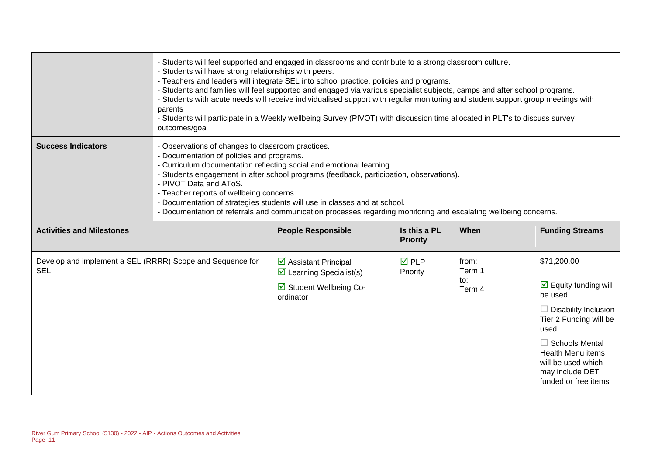|                                                                   | - Students will feel supported and engaged in classrooms and contribute to a strong classroom culture.<br>- Students will have strong relationships with peers.<br>- Teachers and leaders will integrate SEL into school practice, policies and programs.<br>- Students and families will feel supported and engaged via various specialist subjects, camps and after school programs.<br>- Students with acute needs will receive individualised support with regular monitoring and student support group meetings with<br>parents<br>- Students will participate in a Weekly wellbeing Survey (PIVOT) with discussion time allocated in PLT's to discuss survey<br>outcomes/goal |                                                                                                          |                                 |                                  |                                                                                                                                                                                                                                                       |
|-------------------------------------------------------------------|-------------------------------------------------------------------------------------------------------------------------------------------------------------------------------------------------------------------------------------------------------------------------------------------------------------------------------------------------------------------------------------------------------------------------------------------------------------------------------------------------------------------------------------------------------------------------------------------------------------------------------------------------------------------------------------|----------------------------------------------------------------------------------------------------------|---------------------------------|----------------------------------|-------------------------------------------------------------------------------------------------------------------------------------------------------------------------------------------------------------------------------------------------------|
| <b>Success Indicators</b>                                         | - Observations of changes to classroom practices.<br>- Documentation of policies and programs.<br>- Curriculum documentation reflecting social and emotional learning.<br>- Students engagement in after school programs (feedback, participation, observations).<br>- PIVOT Data and AToS.<br>- Teacher reports of wellbeing concerns.<br>- Documentation of strategies students will use in classes and at school.<br>- Documentation of referrals and communication processes regarding monitoring and escalating wellbeing concerns.                                                                                                                                            |                                                                                                          |                                 |                                  |                                                                                                                                                                                                                                                       |
| <b>Activities and Milestones</b>                                  |                                                                                                                                                                                                                                                                                                                                                                                                                                                                                                                                                                                                                                                                                     | <b>People Responsible</b>                                                                                | Is this a PL<br><b>Priority</b> | When                             | <b>Funding Streams</b>                                                                                                                                                                                                                                |
| Develop and implement a SEL (RRRR) Scope and Sequence for<br>SEL. |                                                                                                                                                                                                                                                                                                                                                                                                                                                                                                                                                                                                                                                                                     | ☑ Assistant Principal<br>$\triangleright$ Learning Specialist(s)<br>☑ Student Wellbeing Co-<br>ordinator | <b>☑</b> PLP<br>Priority        | from:<br>Term 1<br>to:<br>Term 4 | \$71,200.00<br>$\triangleright$ Equity funding will<br>be used<br>$\Box$ Disability Inclusion<br>Tier 2 Funding will be<br>used<br>$\Box$ Schools Mental<br><b>Health Menu items</b><br>will be used which<br>may include DET<br>funded or free items |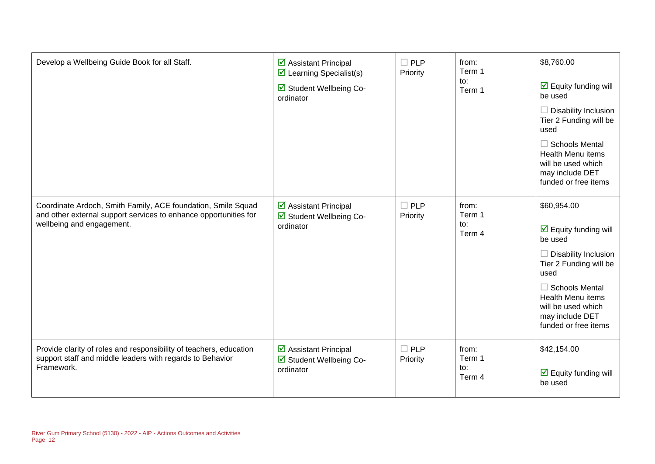| Develop a Wellbeing Guide Book for all Staff.                                                                                                                 | $\triangleright$ Assistant Principal<br>$\triangleright$ Learning Specialist(s)<br>Student Wellbeing Co-<br>ordinator | $\square$ PLP<br>Priority | from:<br>Term 1<br>to:<br>Term 1 | \$8,760.00<br>$\overline{\mathbf{M}}$ Equity funding will<br>be used<br>$\Box$ Disability Inclusion<br>Tier 2 Funding will be<br>used<br>$\Box$ Schools Mental<br><b>Health Menu items</b><br>will be used which<br>may include DET<br>funded or free items |
|---------------------------------------------------------------------------------------------------------------------------------------------------------------|-----------------------------------------------------------------------------------------------------------------------|---------------------------|----------------------------------|-------------------------------------------------------------------------------------------------------------------------------------------------------------------------------------------------------------------------------------------------------------|
| Coordinate Ardoch, Smith Family, ACE foundation, Smile Squad<br>and other external support services to enhance opportunities for<br>wellbeing and engagement. | ☑ Assistant Principal<br>☑ Student Wellbeing Co-<br>ordinator                                                         | $\Box$ PLP<br>Priority    | from:<br>Term 1<br>to:<br>Term 4 | \$60,954.00<br>$\triangleright$ Equity funding will<br>be used<br>$\Box$ Disability Inclusion<br>Tier 2 Funding will be<br>used<br>$\Box$ Schools Mental<br><b>Health Menu items</b><br>will be used which<br>may include DET<br>funded or free items       |
| Provide clarity of roles and responsibility of teachers, education<br>support staff and middle leaders with regards to Behavior<br>Framework.                 | ☑ Assistant Principal<br>Student Wellbeing Co-<br>ordinator                                                           | $\Box$ PLP<br>Priority    | from:<br>Term 1<br>to:<br>Term 4 | \$42,154.00<br>$\overline{\mathbf{M}}$ Equity funding will<br>be used                                                                                                                                                                                       |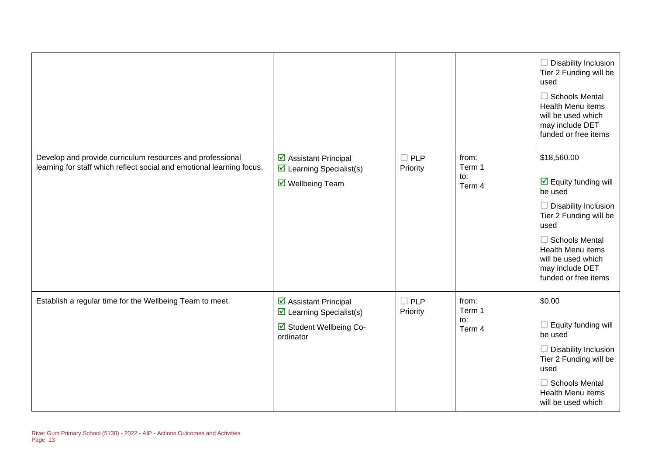|                                                                                                                                    |                                                                                                                                |                           |                                  | $\Box$ Disability Inclusion<br>Tier 2 Funding will be<br>used<br>$\Box$ Schools Mental<br>Health Menu items<br>will be used which<br>may include DET<br>funded or free items                                                                          |
|------------------------------------------------------------------------------------------------------------------------------------|--------------------------------------------------------------------------------------------------------------------------------|---------------------------|----------------------------------|-------------------------------------------------------------------------------------------------------------------------------------------------------------------------------------------------------------------------------------------------------|
| Develop and provide curriculum resources and professional<br>learning for staff which reflect social and emotional learning focus. | ☑ Assistant Principal<br>$\triangleright$ Learning Specialist(s)<br>☑ Wellbeing Team                                           | $\square$ PLP<br>Priority | from:<br>Term 1<br>to:<br>Term 4 | \$18,560.00<br>$\triangleright$ Equity funding will<br>be used<br>$\Box$ Disability Inclusion<br>Tier 2 Funding will be<br>used<br>$\Box$ Schools Mental<br><b>Health Menu items</b><br>will be used which<br>may include DET<br>funded or free items |
| Establish a regular time for the Wellbeing Team to meet.                                                                           | $\overline{\mathbf{y}}$ Assistant Principal<br>$\triangleright$ Learning Specialist(s)<br>☑ Student Wellbeing Co-<br>ordinator | $\square$ PLP<br>Priority | from:<br>Term 1<br>to:<br>Term 4 | \$0.00<br>$\Box$ Equity funding will<br>be used<br>$\Box$ Disability Inclusion<br>Tier 2 Funding will be<br>used<br>$\Box$ Schools Mental<br>Health Menu items<br>will be used which                                                                  |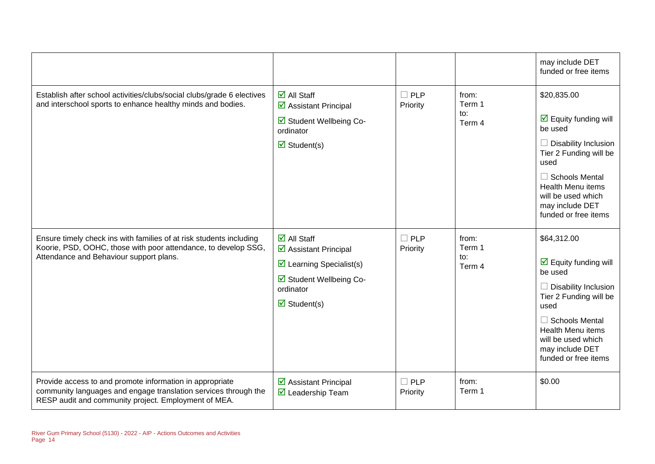|                                                                                                                                                                                     |                                                                                                                                                                                   |                        |                                  | may include DET<br>funded or free items                                                                                                                                                                                                                      |
|-------------------------------------------------------------------------------------------------------------------------------------------------------------------------------------|-----------------------------------------------------------------------------------------------------------------------------------------------------------------------------------|------------------------|----------------------------------|--------------------------------------------------------------------------------------------------------------------------------------------------------------------------------------------------------------------------------------------------------------|
| Establish after school activities/clubs/social clubs/grade 6 electives<br>and interschool sports to enhance healthy minds and bodies.                                               | $\overline{\Box}$ All Staff<br>☑ Assistant Principal<br>Student Wellbeing Co-<br>ordinator<br>$\overline{\mathbf{z}}$ Student(s)                                                  | $\Box$ PLP<br>Priority | from:<br>Term 1<br>to:<br>Term 4 | \$20,835.00<br>$\overline{\mathbf{y}}$ Equity funding will<br>be used<br><b>Disability Inclusion</b><br>Tier 2 Funding will be<br>used<br><b>Schools Mental</b><br><b>Health Menu items</b><br>will be used which<br>may include DET<br>funded or free items |
| Ensure timely check ins with families of at risk students including<br>Koorie, PSD, OOHC, those with poor attendance, to develop SSG,<br>Attendance and Behaviour support plans.    | $\overline{\mathsf{M}}$ All Staff<br>☑ Assistant Principal<br>$\triangleright$ Learning Specialist(s)<br>Student Wellbeing Co-<br>ordinator<br>$\overline{\mathbf{M}}$ Student(s) | $\Box$ PLP<br>Priority | from:<br>Term 1<br>to:<br>Term 4 | \$64,312.00<br>$\overline{\mathbf{y}}$ Equity funding will<br>be used<br>$\Box$ Disability Inclusion<br>Tier 2 Funding will be<br>used<br>$\Box$ Schools Mental<br><b>Health Menu items</b><br>will be used which<br>may include DET<br>funded or free items |
| Provide access to and promote information in appropriate<br>community languages and engage translation services through the<br>RESP audit and community project. Employment of MEA. | ☑ Assistant Principal<br>$\overline{\mathbf{M}}$ Leadership Team                                                                                                                  | $\Box$ PLP<br>Priority | from:<br>Term 1                  | \$0.00                                                                                                                                                                                                                                                       |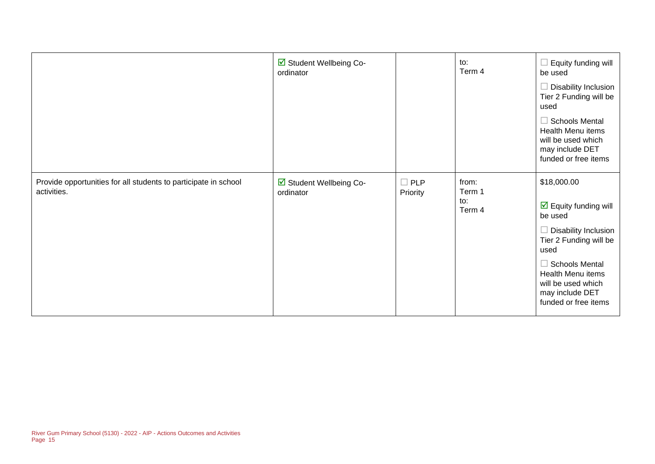|                                                                                | ☑ Student Wellbeing Co-<br>ordinator |                           | to:<br>Term 4                    | $\Box$ Equity funding will<br>be used<br>Disability Inclusion<br>Tier 2 Funding will be<br>used<br>$\Box$ Schools Mental<br>Health Menu items<br>will be used which<br>may include DET<br>funded or free items                                      |
|--------------------------------------------------------------------------------|--------------------------------------|---------------------------|----------------------------------|-----------------------------------------------------------------------------------------------------------------------------------------------------------------------------------------------------------------------------------------------------|
| Provide opportunities for all students to participate in school<br>activities. | ☑ Student Wellbeing Co-<br>ordinator | $\square$ PLP<br>Priority | from:<br>Term 1<br>to:<br>Term 4 | \$18,000.00<br>$\overline{\mathbf{y}}$ Equity funding will<br>be used<br>Disability Inclusion<br>Tier 2 Funding will be<br>used<br><b>Schools Mental</b><br>п<br>Health Menu items<br>will be used which<br>may include DET<br>funded or free items |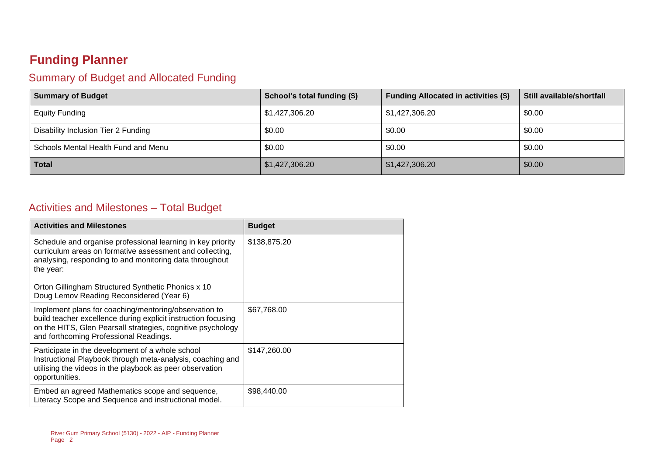### **Funding Planner**

#### Summary of Budget and Allocated Funding

| <b>Summary of Budget</b>            | School's total funding (\$) | <b>Funding Allocated in activities (\$)</b> | Still available/shortfall |
|-------------------------------------|-----------------------------|---------------------------------------------|---------------------------|
| <b>Equity Funding</b>               | \$1,427,306.20              | \$1,427,306.20                              | \$0.00                    |
| Disability Inclusion Tier 2 Funding | \$0.00                      | \$0.00                                      | \$0.00                    |
| Schools Mental Health Fund and Menu | \$0.00                      | \$0.00                                      | \$0.00                    |
| <b>Total</b>                        | \$1,427,306.20              | \$1,427,306.20                              | \$0.00                    |

#### Activities and Milestones – Total Budget

| <b>Activities and Milestones</b>                                                                                                                                                                                                | <b>Budget</b> |
|---------------------------------------------------------------------------------------------------------------------------------------------------------------------------------------------------------------------------------|---------------|
| Schedule and organise professional learning in key priority<br>curriculum areas on formative assessment and collecting,<br>analysing, responding to and monitoring data throughout<br>the year:                                 | \$138,875.20  |
| Orton Gillingham Structured Synthetic Phonics x 10<br>Doug Lemov Reading Reconsidered (Year 6)                                                                                                                                  |               |
| Implement plans for coaching/mentoring/observation to<br>build teacher excellence during explicit instruction focusing<br>on the HITS, Glen Pearsall strategies, cognitive psychology<br>and forthcoming Professional Readings. | \$67,768.00   |
| Participate in the development of a whole school<br>Instructional Playbook through meta-analysis, coaching and<br>utilising the videos in the playbook as peer observation<br>opportunities.                                    | \$147,260.00  |
| Embed an agreed Mathematics scope and sequence,<br>Literacy Scope and Sequence and instructional model.                                                                                                                         | \$98,440.00   |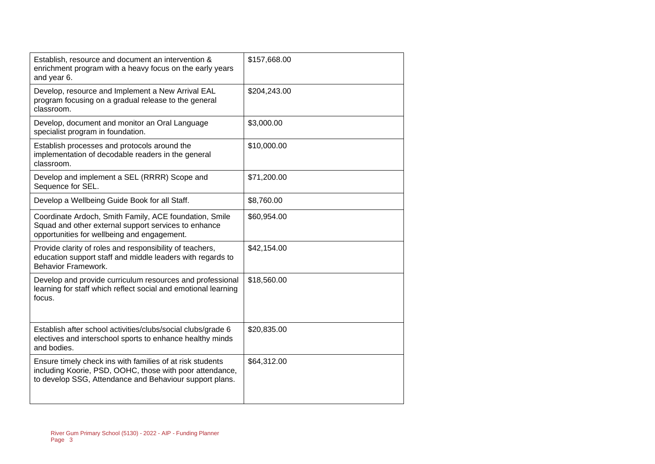| Establish, resource and document an intervention &<br>enrichment program with a heavy focus on the early years<br>and year 6.                                                    | \$157,668.00 |
|----------------------------------------------------------------------------------------------------------------------------------------------------------------------------------|--------------|
| Develop, resource and Implement a New Arrival EAL<br>program focusing on a gradual release to the general<br>classroom.                                                          | \$204,243.00 |
| Develop, document and monitor an Oral Language<br>specialist program in foundation.                                                                                              | \$3,000.00   |
| Establish processes and protocols around the<br>implementation of decodable readers in the general<br>classroom.                                                                 | \$10,000.00  |
| Develop and implement a SEL (RRRR) Scope and<br>Sequence for SEL.                                                                                                                | \$71,200.00  |
| Develop a Wellbeing Guide Book for all Staff.                                                                                                                                    | \$8,760.00   |
| Coordinate Ardoch, Smith Family, ACE foundation, Smile<br>Squad and other external support services to enhance<br>opportunities for wellbeing and engagement.                    | \$60,954.00  |
| Provide clarity of roles and responsibility of teachers,<br>education support staff and middle leaders with regards to<br><b>Behavior Framework.</b>                             | \$42,154.00  |
| Develop and provide curriculum resources and professional<br>learning for staff which reflect social and emotional learning<br>focus.                                            | \$18,560.00  |
| Establish after school activities/clubs/social clubs/grade 6<br>electives and interschool sports to enhance healthy minds<br>and bodies.                                         | \$20,835.00  |
| Ensure timely check ins with families of at risk students<br>including Koorie, PSD, OOHC, those with poor attendance,<br>to develop SSG, Attendance and Behaviour support plans. | \$64,312.00  |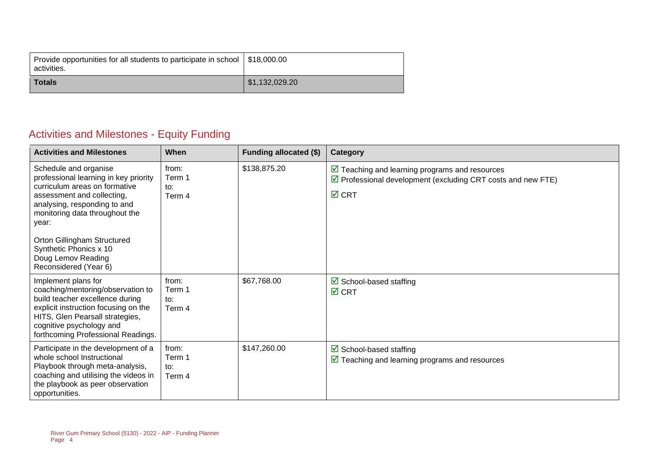| Provide opportunities for all students to participate in school   \$18,000.00<br>activities. |                |
|----------------------------------------------------------------------------------------------|----------------|
| <b>Totals</b>                                                                                | \$1,132,029.20 |

### Activities and Milestones - Equity Funding

| <b>Activities and Milestones</b>                                                                                                                                                                                                                                                                                 | When                             | <b>Funding allocated (\$)</b> | Category                                                                                                                                                       |
|------------------------------------------------------------------------------------------------------------------------------------------------------------------------------------------------------------------------------------------------------------------------------------------------------------------|----------------------------------|-------------------------------|----------------------------------------------------------------------------------------------------------------------------------------------------------------|
| Schedule and organise<br>professional learning in key priority<br>curriculum areas on formative<br>assessment and collecting,<br>analysing, responding to and<br>monitoring data throughout the<br>year:<br>Orton Gillingham Structured<br>Synthetic Phonics x 10<br>Doug Lemov Reading<br>Reconsidered (Year 6) | from:<br>Term 1<br>to:<br>Term 4 | \$138,875.20                  | $\triangleright$ Teaching and learning programs and resources<br>$\triangledown$ Professional development (excluding CRT costs and new FTE)<br>$\boxtimes$ CRT |
| Implement plans for<br>coaching/mentoring/observation to<br>build teacher excellence during<br>explicit instruction focusing on the<br>HITS, Glen Pearsall strategies,<br>cognitive psychology and<br>forthcoming Professional Readings.                                                                         | from:<br>Term 1<br>to:<br>Term 4 | \$67,768.00                   | $\triangleright$ School-based staffing<br>$\overline{M}$ CRT                                                                                                   |
| Participate in the development of a<br>whole school Instructional<br>Playbook through meta-analysis,<br>coaching and utilising the videos in<br>the playbook as peer observation<br>opportunities.                                                                                                               | from:<br>Term 1<br>to:<br>Term 4 | \$147,260.00                  | $\boxtimes$ School-based staffing<br>$\triangleright$ Teaching and learning programs and resources                                                             |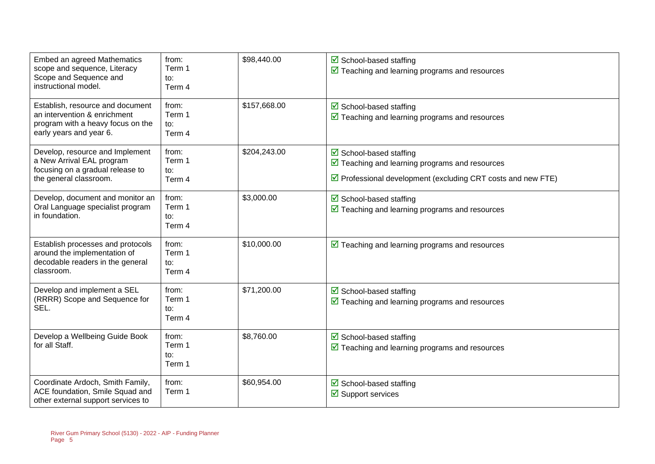| Embed an agreed Mathematics<br>scope and sequence, Literacy<br>Scope and Sequence and<br>instructional model.                    | from:<br>Term 1<br>to:<br>Term 4 | \$98,440.00  | $\boxtimes$ School-based staffing<br>$\triangledown$ Teaching and learning programs and resources                                                                         |
|----------------------------------------------------------------------------------------------------------------------------------|----------------------------------|--------------|---------------------------------------------------------------------------------------------------------------------------------------------------------------------------|
| Establish, resource and document<br>an intervention & enrichment<br>program with a heavy focus on the<br>early years and year 6. | from:<br>Term 1<br>to:<br>Term 4 | \$157,668.00 | $\overline{\mathbf{y}}$ School-based staffing<br>$\boxed{\blacksquare}$ Teaching and learning programs and resources                                                      |
| Develop, resource and Implement<br>a New Arrival EAL program<br>focusing on a gradual release to<br>the general classroom.       | from:<br>Term 1<br>to:<br>Term 4 | \$204,243.00 | $\boxtimes$ School-based staffing<br>$\overline{\mathbf{y}}$ Teaching and learning programs and resources<br>☑ Professional development (excluding CRT costs and new FTE) |
| Develop, document and monitor an<br>Oral Language specialist program<br>in foundation.                                           | from:<br>Term 1<br>to:<br>Term 4 | \$3,000.00   | $\boxtimes$ School-based staffing<br>$\triangledown$ Teaching and learning programs and resources                                                                         |
| Establish processes and protocols<br>around the implementation of<br>decodable readers in the general<br>classroom.              | from:<br>Term 1<br>to:<br>Term 4 | \$10,000.00  | $\triangleright$ Teaching and learning programs and resources                                                                                                             |
| Develop and implement a SEL<br>(RRRR) Scope and Sequence for<br>SEL.                                                             | from:<br>Term 1<br>to:<br>Term 4 | \$71,200.00  | $\boxtimes$ School-based staffing<br>$\sqrt{2}$ Teaching and learning programs and resources                                                                              |
| Develop a Wellbeing Guide Book<br>for all Staff.                                                                                 | from:<br>Term 1<br>to:<br>Term 1 | \$8,760.00   | ☑ School-based staffing<br>$\sqrt{2}$ Teaching and learning programs and resources                                                                                        |
| Coordinate Ardoch, Smith Family,<br>ACE foundation, Smile Squad and<br>other external support services to                        | from:<br>Term 1                  | \$60,954.00  | $\triangleright$ School-based staffing<br>$\boxtimes$ Support services                                                                                                    |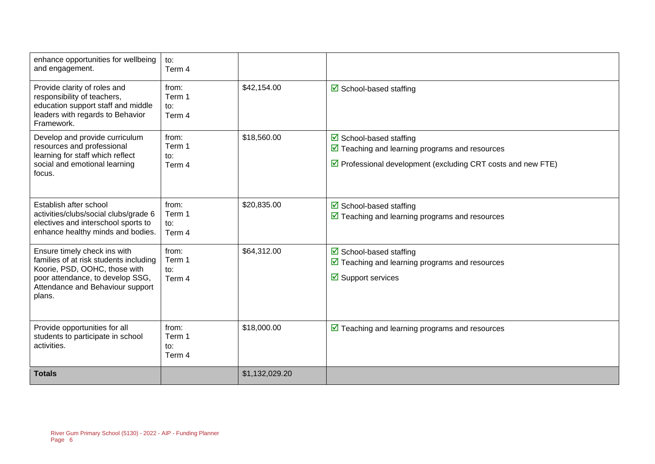| enhance opportunities for wellbeing<br>and engagement.                                                                                                                                    | $\mathsf{to}:$<br>Term 4         |                |                                                                                                                                                                                               |
|-------------------------------------------------------------------------------------------------------------------------------------------------------------------------------------------|----------------------------------|----------------|-----------------------------------------------------------------------------------------------------------------------------------------------------------------------------------------------|
| Provide clarity of roles and<br>responsibility of teachers,<br>education support staff and middle<br>leaders with regards to Behavior<br>Framework.                                       | from:<br>Term 1<br>to:<br>Term 4 | \$42,154.00    | $\triangleright$ School-based staffing                                                                                                                                                        |
| Develop and provide curriculum<br>resources and professional<br>learning for staff which reflect<br>social and emotional learning<br>focus.                                               | from:<br>Term 1<br>to:<br>Term 4 | \$18,560.00    | $\triangleright$ School-based staffing<br>$\boxed{\triangleright}$ Teaching and learning programs and resources<br>$\triangledown$ Professional development (excluding CRT costs and new FTE) |
| Establish after school<br>activities/clubs/social clubs/grade 6<br>electives and interschool sports to<br>enhance healthy minds and bodies.                                               | from:<br>Term 1<br>to:<br>Term 4 | \$20,835.00    | $\triangleright$ School-based staffing<br>$\triangledown$ Teaching and learning programs and resources                                                                                        |
| Ensure timely check ins with<br>families of at risk students including<br>Koorie, PSD, OOHC, those with<br>poor attendance, to develop SSG,<br>Attendance and Behaviour support<br>plans. | from:<br>Term 1<br>to:<br>Term 4 | \$64,312.00    | $\triangleright$ School-based staffing<br>$\triangledown$ Teaching and learning programs and resources<br>$\overline{\mathbf{y}}$ Support services                                            |
| Provide opportunities for all<br>students to participate in school<br>activities.                                                                                                         | from:<br>Term 1<br>to:<br>Term 4 | \$18,000.00    | $\triangleright$ Teaching and learning programs and resources                                                                                                                                 |
| <b>Totals</b>                                                                                                                                                                             |                                  | \$1,132,029.20 |                                                                                                                                                                                               |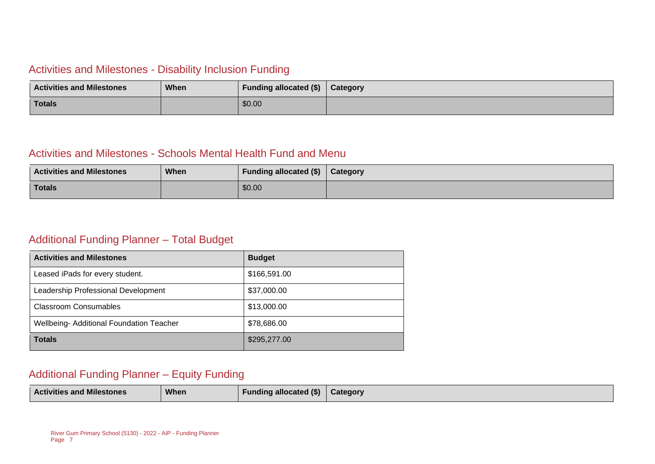#### Activities and Milestones - Disability Inclusion Funding

| <b>Activities and Milestones</b> | <b>When</b> | Funding allocated (\$) | Category |
|----------------------------------|-------------|------------------------|----------|
| <b>Totals</b>                    |             | \$0.00                 |          |

#### Activities and Milestones - Schools Mental Health Fund and Menu

| <b>Activities and Milestones</b> | When | <b>Funding allocated (\$)</b> | Category |
|----------------------------------|------|-------------------------------|----------|
| <b>Totals</b>                    |      | \$0.00                        |          |

#### Additional Funding Planner – Total Budget

| <b>Activities and Milestones</b>               | <b>Budget</b> |
|------------------------------------------------|---------------|
| Leased iPads for every student.                | \$166,591.00  |
| Leadership Professional Development            | \$37,000.00   |
| <b>Classroom Consumables</b>                   | \$13,000.00   |
| <b>Wellbeing-Additional Foundation Teacher</b> | \$78,686.00   |
| <b>Totals</b>                                  | \$295,277.00  |

#### Additional Funding Planner – Equity Funding

| <b>Activities and Milestones</b> | When | <b>Funding allocated (\$)</b> | <b>Category</b> |
|----------------------------------|------|-------------------------------|-----------------|
|----------------------------------|------|-------------------------------|-----------------|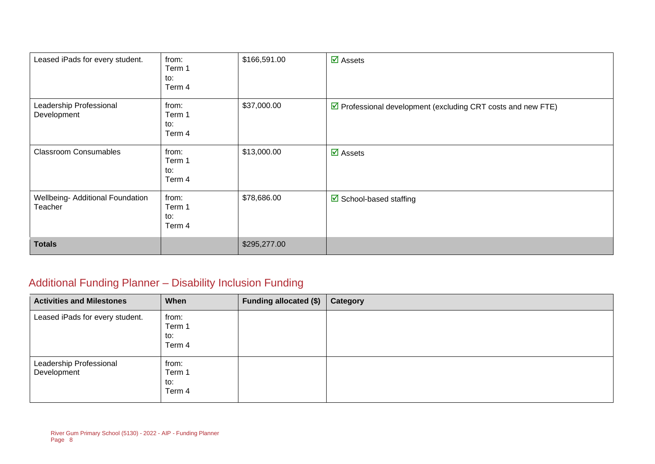| Leased iPads for every student.             | from:<br>Term 1<br>to:<br>Term 4 | \$166,591.00 | $\overline{\mathbf{M}}$ Assets                               |
|---------------------------------------------|----------------------------------|--------------|--------------------------------------------------------------|
| Leadership Professional<br>Development      | from:<br>Term 1<br>to:<br>Term 4 | \$37,000.00  | ☑ Professional development (excluding CRT costs and new FTE) |
| <b>Classroom Consumables</b>                | from:<br>Term 1<br>to:<br>Term 4 | \$13,000.00  | $\overline{\mathbf{M}}$ Assets                               |
| Wellbeing- Additional Foundation<br>Teacher | from:<br>Term 1<br>to:<br>Term 4 | \$78,686.00  | $\triangleright$ School-based staffing                       |
| <b>Totals</b>                               |                                  | \$295,277.00 |                                                              |

### Additional Funding Planner – Disability Inclusion Funding

| <b>Activities and Milestones</b>       | When                             | <b>Funding allocated (\$)</b> | Category |
|----------------------------------------|----------------------------------|-------------------------------|----------|
| Leased iPads for every student.        | from:<br>Term 1<br>to:<br>Term 4 |                               |          |
| Leadership Professional<br>Development | from:<br>Term 1<br>to:<br>Term 4 |                               |          |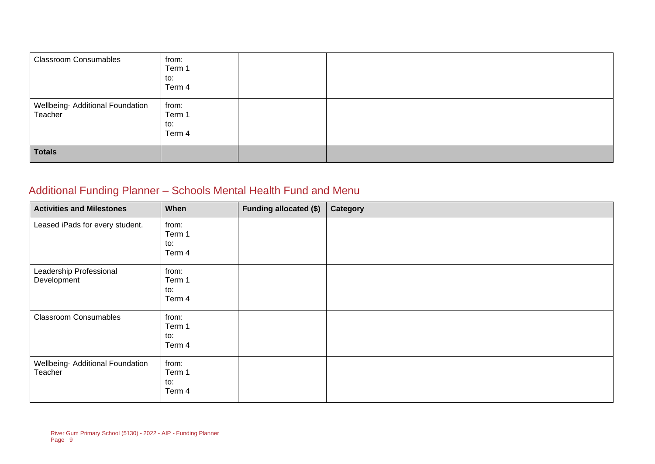| <b>Classroom Consumables</b>                | from:<br>Term 1<br>to:<br>Term 4 |  |
|---------------------------------------------|----------------------------------|--|
| Wellbeing- Additional Foundation<br>Teacher | from:<br>Term 1<br>to:<br>Term 4 |  |
| <b>Totals</b>                               |                                  |  |

### Additional Funding Planner – Schools Mental Health Fund and Menu

| <b>Activities and Milestones</b>            | When                             | <b>Funding allocated (\$)</b> | Category |
|---------------------------------------------|----------------------------------|-------------------------------|----------|
| Leased iPads for every student.             | from:<br>Term 1<br>to:<br>Term 4 |                               |          |
| Leadership Professional<br>Development      | from:<br>Term 1<br>to:<br>Term 4 |                               |          |
| <b>Classroom Consumables</b>                | from:<br>Term 1<br>to:<br>Term 4 |                               |          |
| Wellbeing- Additional Foundation<br>Teacher | from:<br>Term 1<br>to:<br>Term 4 |                               |          |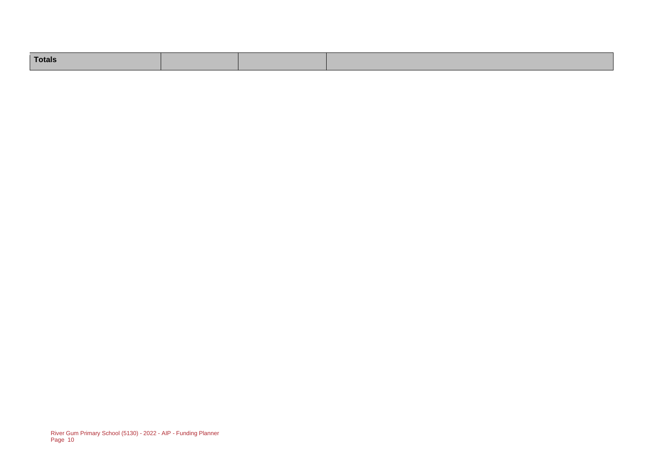| Totals |  |  |
|--------|--|--|
|        |  |  |
|        |  |  |
|        |  |  |
|        |  |  |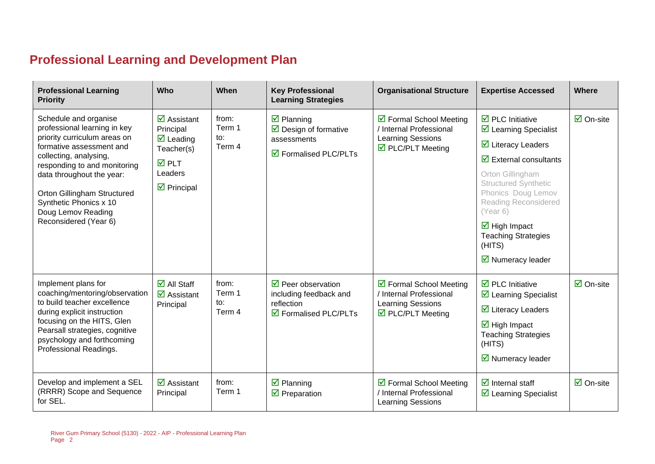### **Professional Learning and Development Plan**

| <b>Professional Learning</b><br><b>Priority</b>                                                                      | Who                                                              | When            | <b>Key Professional</b><br><b>Learning Strategies</b>                   | <b>Organisational Structure</b>                                         | <b>Expertise Accessed</b>                                                                                        | Where                           |
|----------------------------------------------------------------------------------------------------------------------|------------------------------------------------------------------|-----------------|-------------------------------------------------------------------------|-------------------------------------------------------------------------|------------------------------------------------------------------------------------------------------------------|---------------------------------|
| Schedule and organise<br>professional learning in key                                                                | $\overline{\mathbf{z}}$ Assistant<br>Principal                   | from:<br>Term 1 | $\boxdot$ Planning<br>$\triangleright$ Design of formative              | ☑ Formal School Meeting<br>/ Internal Professional                      | $\overline{\boxtimes}$ PLC Initiative<br>$\triangleright$ Learning Specialist                                    | $\overline{\mathsf{M}}$ On-site |
| priority curriculum areas on<br>formative assessment and                                                             | $\overline{\mathbf{M}}$ Leading<br>Teacher(s)                    | to:<br>Term 4   | assessments                                                             | <b>Learning Sessions</b><br>$\triangleright$ PLC/PLT Meeting            | $\overline{\mathbf{y}}$ Literacy Leaders                                                                         |                                 |
| collecting, analysing,<br>responding to and monitoring                                                               | <b>ØPLT</b>                                                      |                 | ☑ Formalised PLC/PLTs                                                   |                                                                         | $\overline{\mathbf{y}}$ External consultants                                                                     |                                 |
| data throughout the year:<br>Orton Gillingham Structured<br>Synthetic Phonics x 10<br>Doug Lemov Reading             | Leaders<br>$\triangleright$ Principal                            |                 |                                                                         |                                                                         | Orton Gillingham<br><b>Structured Synthetic</b><br>Phonics Doug Lemov<br><b>Reading Reconsidered</b><br>(Year 6) |                                 |
| Reconsidered (Year 6)                                                                                                |                                                                  |                 |                                                                         |                                                                         | $\overline{\mathbf{M}}$ High Impact<br><b>Teaching Strategies</b><br>(HITS)                                      |                                 |
|                                                                                                                      |                                                                  |                 |                                                                         |                                                                         | $\triangleright$ Numeracy leader                                                                                 |                                 |
| Implement plans for<br>coaching/mentoring/observation<br>to build teacher excellence                                 | $\overline{\Box}$ All Staff<br>$\overline{\mathbf{z}}$ Assistant | from:<br>Term 1 | $\triangledown$ Peer observation<br>including feedback and              | $\triangleright$ Formal School Meeting<br>Internal Professional         | $\overline{\mathbf{z}}$ PLC Initiative<br>$\triangleright$ Learning Specialist                                   | $\overline{\Box}$ On-site       |
| during explicit instruction                                                                                          | Principal                                                        | to:<br>Term 4   | reflection<br>$\overline{\mathbf{y}}$ Formalised PLC/PLTs               | <b>Learning Sessions</b><br>$\overline{\mathbf{M}}$ PLC/PLT Meeting     | $\overline{\mathbf{y}}$ Literacy Leaders                                                                         |                                 |
| focusing on the HITS, Glen<br>Pearsall strategies, cognitive<br>psychology and forthcoming<br>Professional Readings. |                                                                  |                 |                                                                         |                                                                         | $\overline{\mathbf{M}}$ High Impact<br><b>Teaching Strategies</b><br>(HITS)                                      |                                 |
|                                                                                                                      |                                                                  |                 |                                                                         |                                                                         | $\triangleright$ Numeracy leader                                                                                 |                                 |
| Develop and implement a SEL<br>(RRRR) Scope and Sequence<br>for SEL.                                                 | $\overline{\mathbf{M}}$ Assistant<br>Principal                   | from:<br>Term 1 | $\overline{\mathbf{z}}$ Planning<br>$\overline{\mathbf{2}}$ Preparation | ☑ Formal School Meeting<br>/ Internal Professional<br>Learning Sessions | $\overline{\mathbf{z}}$ Internal staff<br>☑ Learning Specialist                                                  | $\overline{\mathbf{M}}$ On-site |